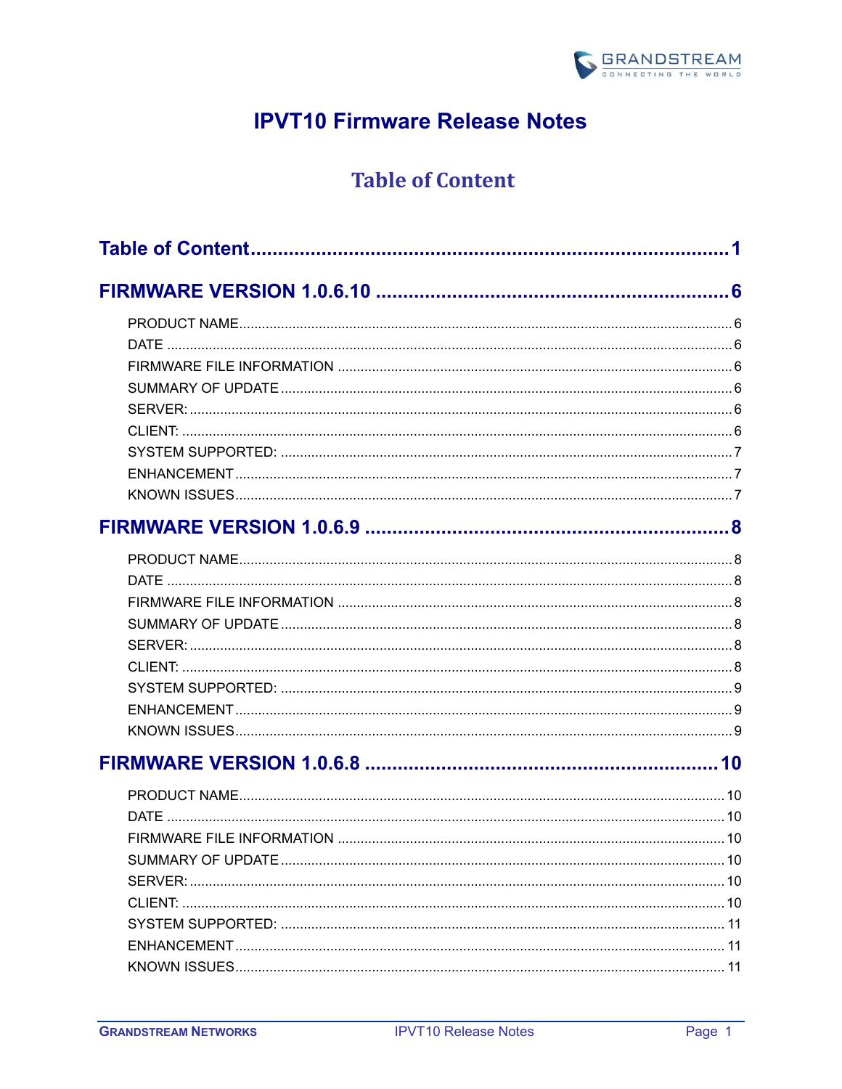

# **IPVT10 Firmware Release Notes**

## **Table of Content**

<span id="page-0-0"></span>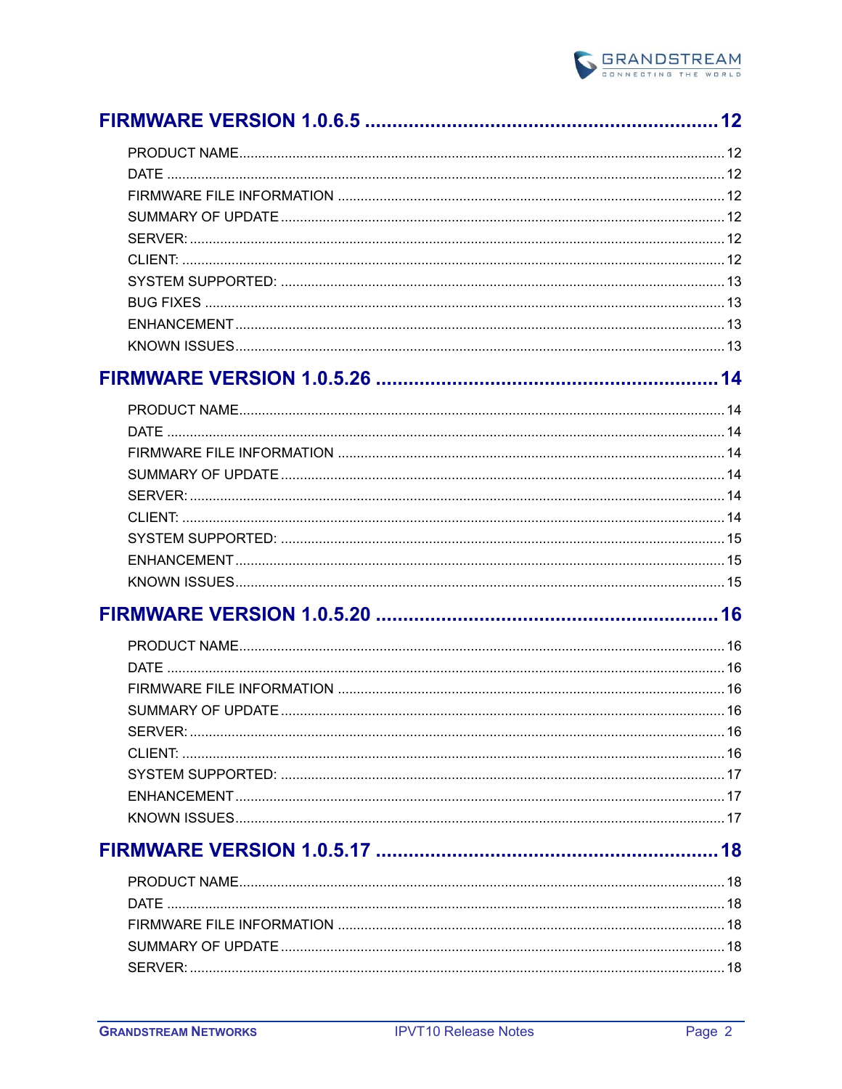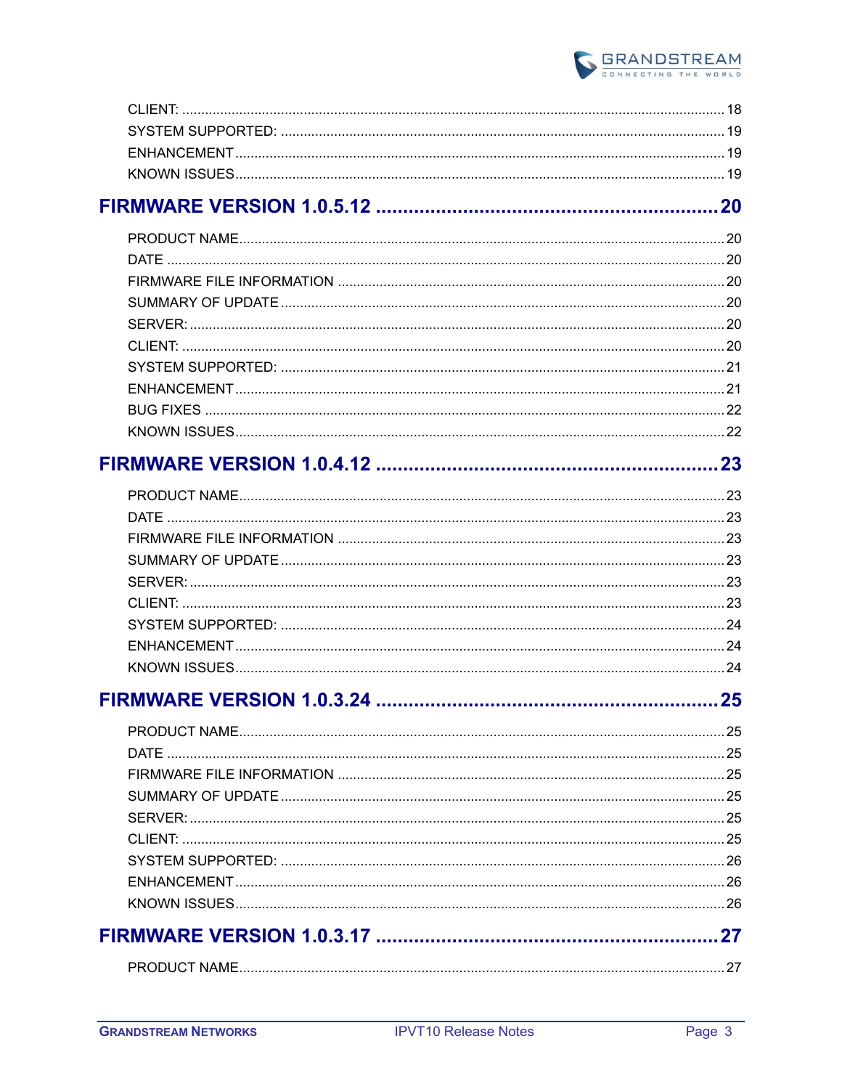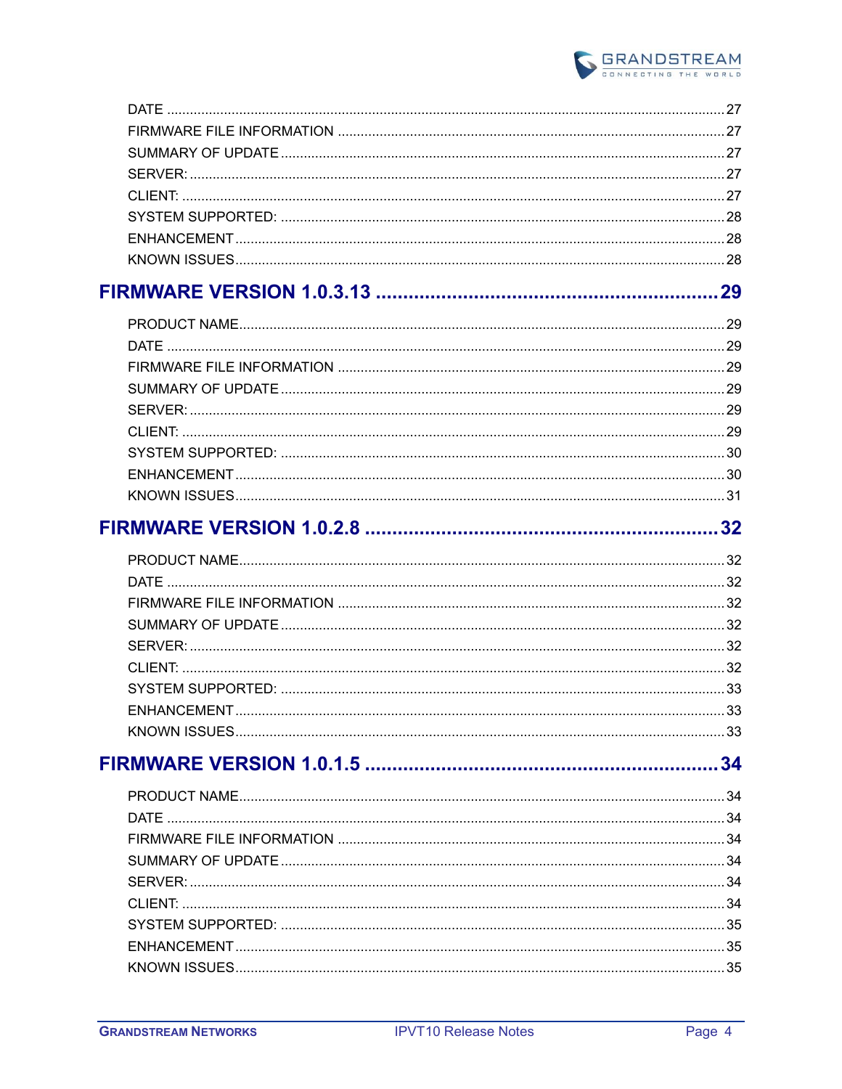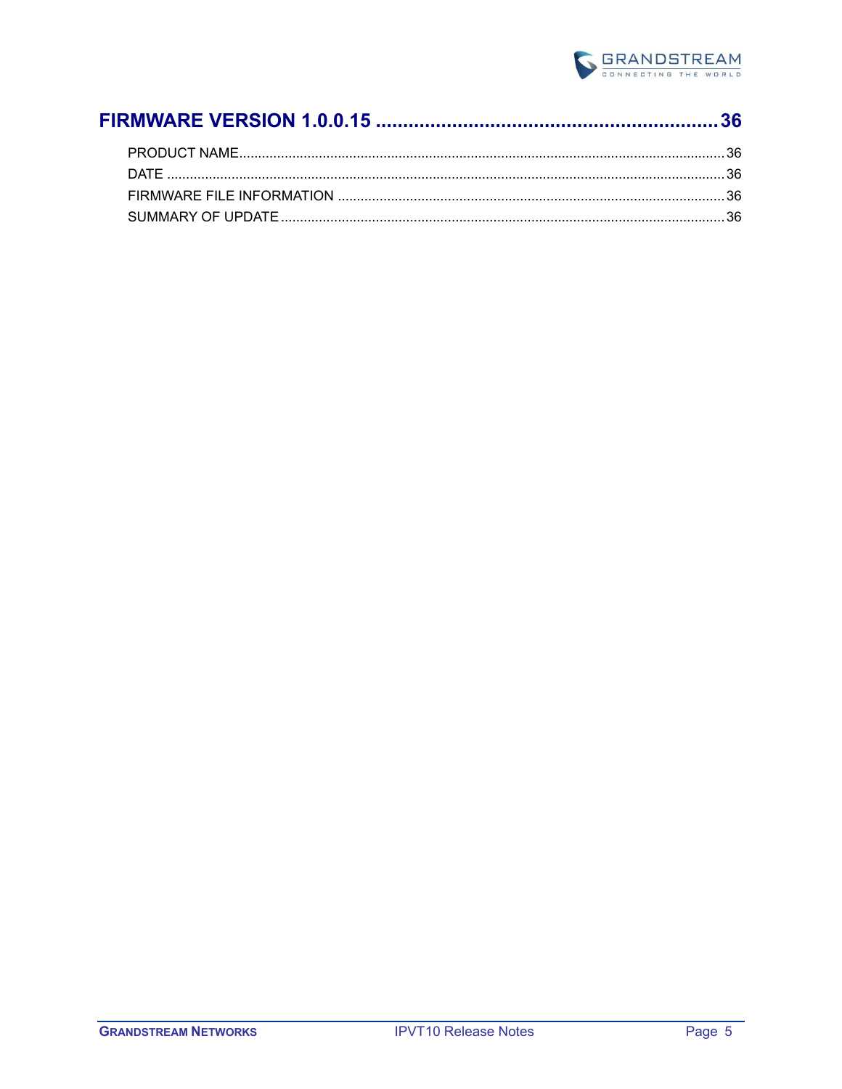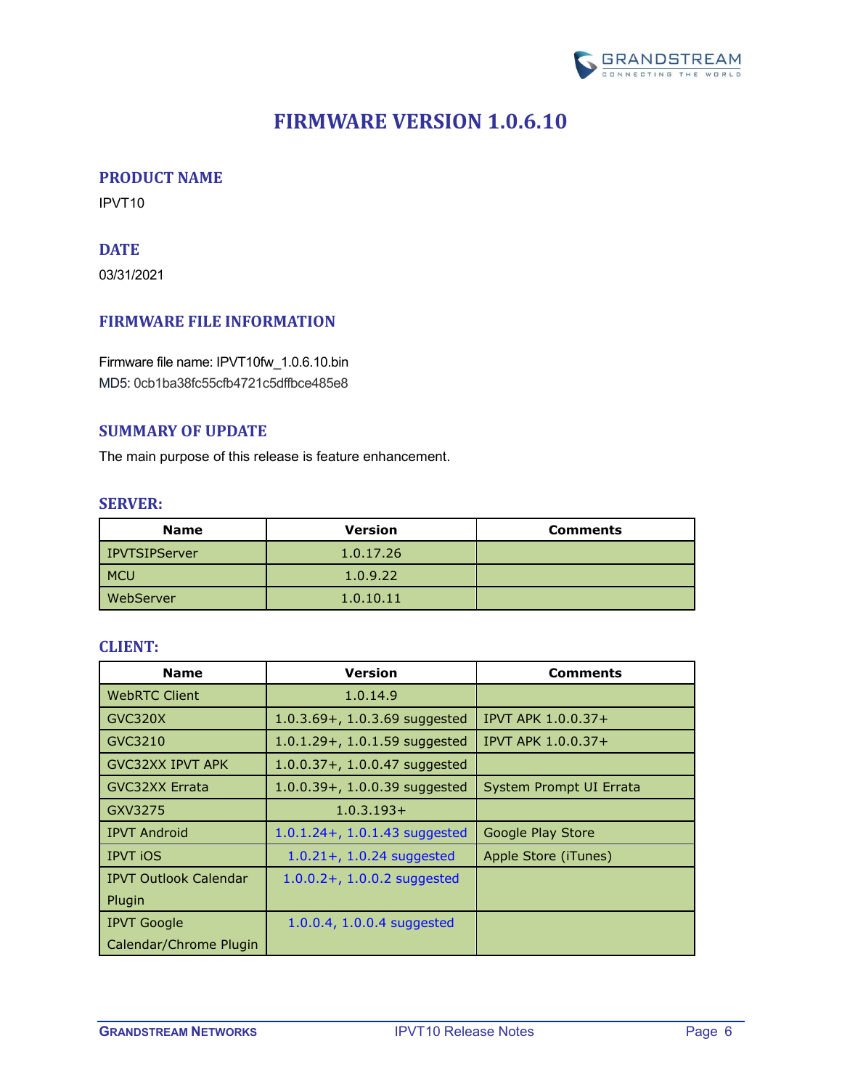

## **FIRMWARE VERSION 1.0.6.10**

### <span id="page-5-1"></span><span id="page-5-0"></span>**PRODUCT NAME**

<span id="page-5-2"></span>IPVT10

## **DATE**

03/31/2021

## <span id="page-5-3"></span>**FIRMWARE FILE INFORMATION**

Firmware file name: IPVT10fw\_1.0.6.10.bin MD5: 0cb1ba38fc55cfb4721c5dffbce485e8

### <span id="page-5-4"></span>**SUMMARY OF UPDATE**

<span id="page-5-5"></span>The main purpose of this release is feature enhancement.

#### **SERVER:**

| <b>Name</b>     | <b>Version</b> | <b>Comments</b> |
|-----------------|----------------|-----------------|
| l IPVTSIPServer | 1.0.17.26      |                 |
| <b>MCU</b>      | 1.0.9.22       |                 |
| WebServer       | 1.0.10.11      |                 |

<span id="page-5-6"></span>

| <b>Name</b>                  | <b>Version</b>                    | <b>Comments</b>         |
|------------------------------|-----------------------------------|-------------------------|
| <b>WebRTC Client</b>         | 1.0.14.9                          |                         |
| GVC320X                      | $1.0.3.69 + 1.0.3.69$ suggested   | IPVT APK 1.0.0.37+      |
| GVC3210                      | $1.0.1.29 + 0.1.59$ suggested     | IPVT APK 1.0.0.37+      |
| <b>GVC32XX IPVT APK</b>      | $1.0.0.37 + 1.0.0.47$ suggested   |                         |
| <b>GVC32XX Errata</b>        | $1.0.0.39 + 0.1.0.0.39$ suggested | System Prompt UI Errata |
| GXV3275                      | $1.0.3.193+$                      |                         |
| <b>IPVT Android</b>          | $1.0.1.24 + 1.0.1.43$ suggested   | Google Play Store       |
| <b>IPVT iOS</b>              | $1.0.21 + 1.0.24$ suggested       | Apple Store (iTunes)    |
| <b>IPVT Outlook Calendar</b> | $1.0.0.2 + 1.0.0.2$ suggested     |                         |
| Plugin                       |                                   |                         |
| <b>IPVT Google</b>           | 1.0.0.4, 1.0.0.4 suggested        |                         |
| Calendar/Chrome Plugin       |                                   |                         |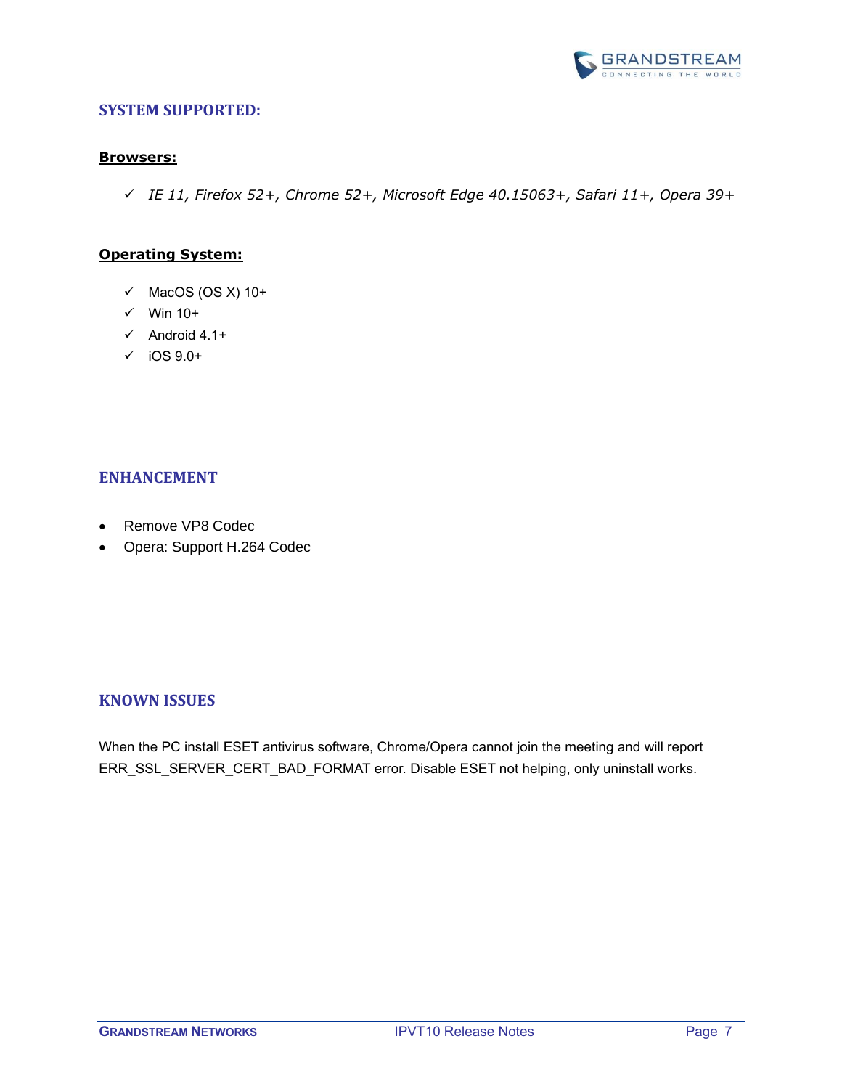

#### <span id="page-6-0"></span>**Browsers:**

✓ *IE 11, Firefox 52+, Chrome 52+, Microsoft Edge 40.15063+, Safari 11+, Opera 39+*

#### **Operating System:**

- $\checkmark$  MacOS (OS X) 10+
- $\checkmark$  Win 10+
- ✓ Android 4.1+
- $\checkmark$  iOS 9.0+

#### <span id="page-6-1"></span>**ENHANCEMENT**

- Remove VP8 Codec
- Opera: Support H.264 Codec

#### <span id="page-6-2"></span>**KNOWN ISSUES**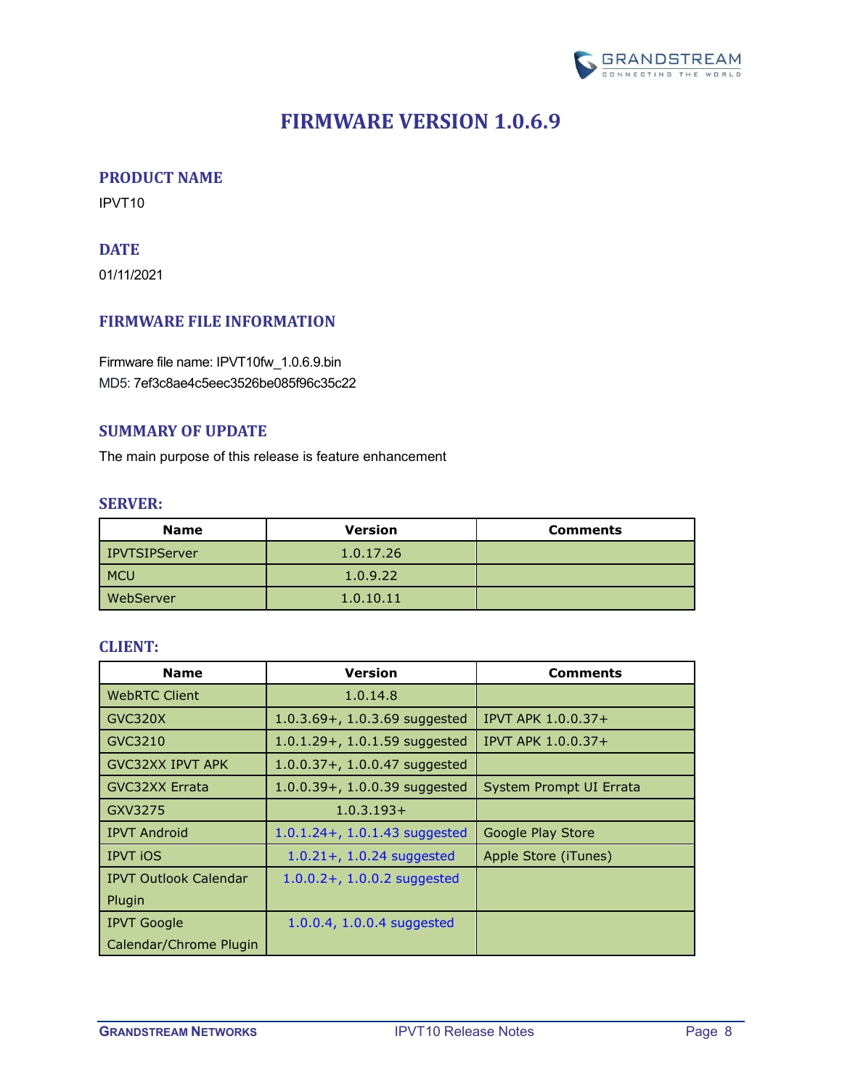

## **FIRMWARE VERSION 1.0.6.9**

### <span id="page-7-1"></span><span id="page-7-0"></span>**PRODUCT NAME**

<span id="page-7-2"></span>IPVT10

## **DATE**

01/11/2021

## <span id="page-7-3"></span>**FIRMWARE FILE INFORMATION**

Firmware file name: IPVT10fw\_1.0.6.9.bin MD5: 7ef3c8ae4c5eec3526be085f96c35c22

#### <span id="page-7-4"></span>**SUMMARY OF UPDATE**

<span id="page-7-5"></span>The main purpose of this release is feature enhancement

#### **SERVER:**

| <b>Name</b>     | <b>Version</b> | <b>Comments</b> |
|-----------------|----------------|-----------------|
| l IPVTSIPServer | 1.0.17.26      |                 |
| <b>MCU</b>      | 1.0.9.22       |                 |
| WebServer       | 1.0.10.11      |                 |

<span id="page-7-6"></span>

| <b>Name</b>                  | <b>Version</b>                    | <b>Comments</b>           |
|------------------------------|-----------------------------------|---------------------------|
| <b>WebRTC Client</b>         | 1.0.14.8                          |                           |
| GVC320X                      | 1.0.3.69+, 1.0.3.69 suggested     | <b>IPVT APK 1.0.0.37+</b> |
| GVC3210                      | $1.0.1.29 + 0.1.59$ suggested     | IPVT APK 1.0.0.37+        |
| <b>GVC32XX IPVT APK</b>      | $1.0.0.37 + 1.0.0.47$ suggested   |                           |
| <b>GVC32XX Errata</b>        | $1.0.0.39 + 0.1.0.0.39$ suggested | System Prompt UI Errata   |
| GXV3275                      | $1.0.3.193+$                      |                           |
| <b>IPVT Android</b>          | $1.0.1.24 + 1.0.1.43$ suggested   | Google Play Store         |
| <b>IPVT iOS</b>              | $1.0.21 + 1.0.24$ suggested       | Apple Store (iTunes)      |
| <b>IPVT Outlook Calendar</b> | $1.0.0.2 + 1.0.0.2$ suggested     |                           |
| Plugin                       |                                   |                           |
| <b>IPVT Google</b>           | 1.0.0.4, 1.0.0.4 suggested        |                           |
| Calendar/Chrome Plugin       |                                   |                           |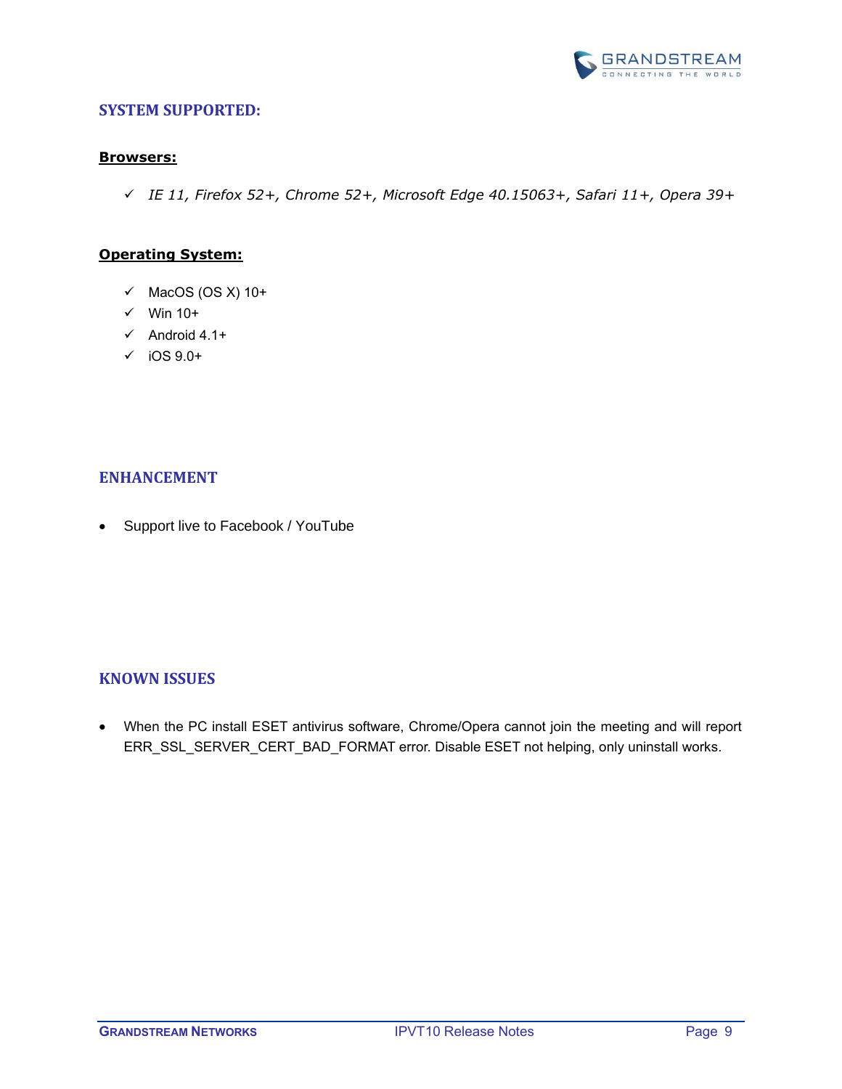

#### <span id="page-8-0"></span>**Browsers:**

✓ *IE 11, Firefox 52+, Chrome 52+, Microsoft Edge 40.15063+, Safari 11+, Opera 39+*

#### **Operating System:**

- $\checkmark$  MacOS (OS X) 10+
- $\checkmark$  Win 10+
- $\checkmark$  Android 4.1+
- $\checkmark$  iOS 9.0+

### <span id="page-8-1"></span>**ENHANCEMENT**

• Support live to Facebook / YouTube

#### <span id="page-8-2"></span>**KNOWN ISSUES**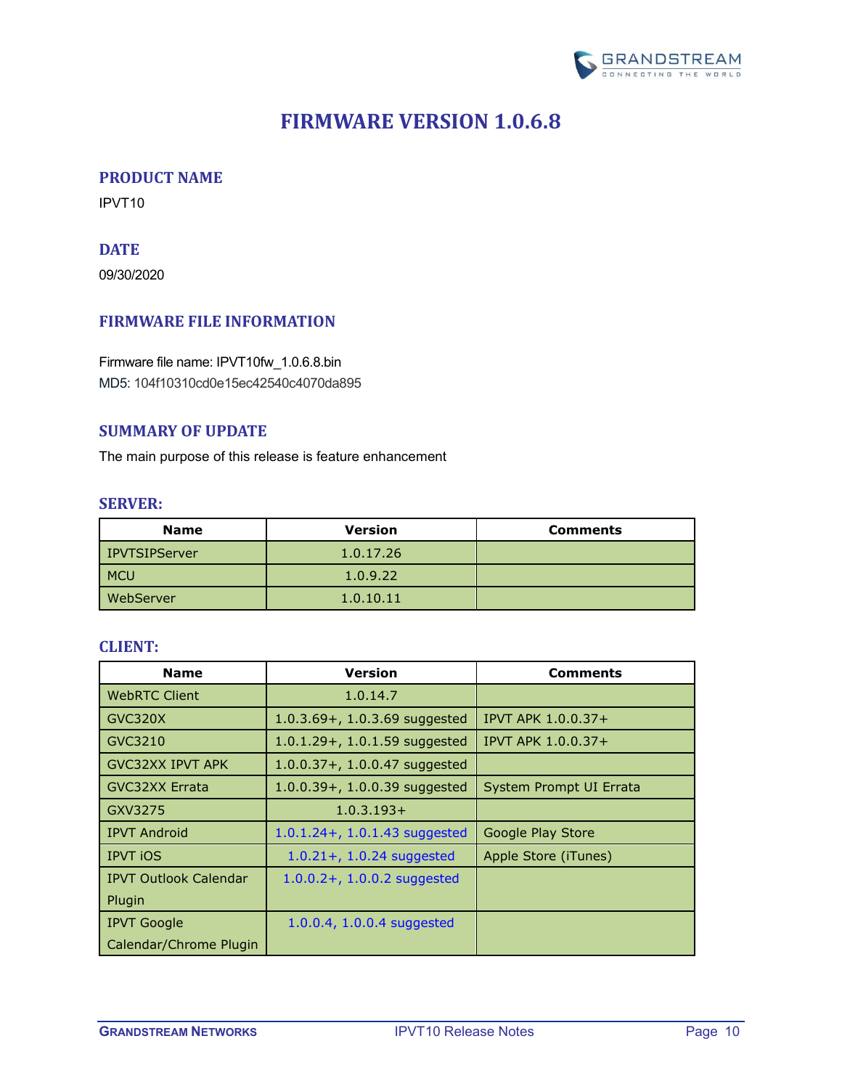

## **FIRMWARE VERSION 1.0.6.8**

### <span id="page-9-1"></span><span id="page-9-0"></span>**PRODUCT NAME**

<span id="page-9-2"></span>IPVT10

## **DATE**

09/30/2020

## <span id="page-9-3"></span>**FIRMWARE FILE INFORMATION**

Firmware file name: IPVT10fw\_1.0.6.8.bin MD5: 104f10310cd0e15ec42540c4070da895

### <span id="page-9-4"></span>**SUMMARY OF UPDATE**

<span id="page-9-5"></span>The main purpose of this release is feature enhancement

#### **SERVER:**

| <b>Name</b>   | <b>Version</b> | <b>Comments</b> |
|---------------|----------------|-----------------|
| IPVTSIPServer | 1.0.17.26      |                 |
| <b>MCU</b>    | 1.0.9.22       |                 |
| WebServer     | 1.0.10.11      |                 |

<span id="page-9-6"></span>

| <b>Name</b>                  | <b>Version</b>                    | <b>Comments</b>           |
|------------------------------|-----------------------------------|---------------------------|
| <b>WebRTC Client</b>         | 1.0.14.7                          |                           |
| GVC320X                      | 1.0.3.69+, 1.0.3.69 suggested     | <b>IPVT APK 1.0.0.37+</b> |
| GVC3210                      | $1.0.1.29 + 0.1.59$ suggested     | IPVT APK 1.0.0.37+        |
| <b>GVC32XX IPVT APK</b>      | $1.0.0.37 + 1.0.0.47$ suggested   |                           |
| <b>GVC32XX Errata</b>        | $1.0.0.39 + 0.1.0.0.39$ suggested | System Prompt UI Errata   |
| GXV3275                      | $1.0.3.193+$                      |                           |
| <b>IPVT Android</b>          | $1.0.1.24 + 1.0.1.43$ suggested   | Google Play Store         |
| <b>IPVT iOS</b>              | $1.0.21 + 1.0.24$ suggested       | Apple Store (iTunes)      |
| <b>IPVT Outlook Calendar</b> | $1.0.0.2 + 1.0.0.2$ suggested     |                           |
| Plugin                       |                                   |                           |
| <b>IPVT Google</b>           | 1.0.0.4, 1.0.0.4 suggested        |                           |
| Calendar/Chrome Plugin       |                                   |                           |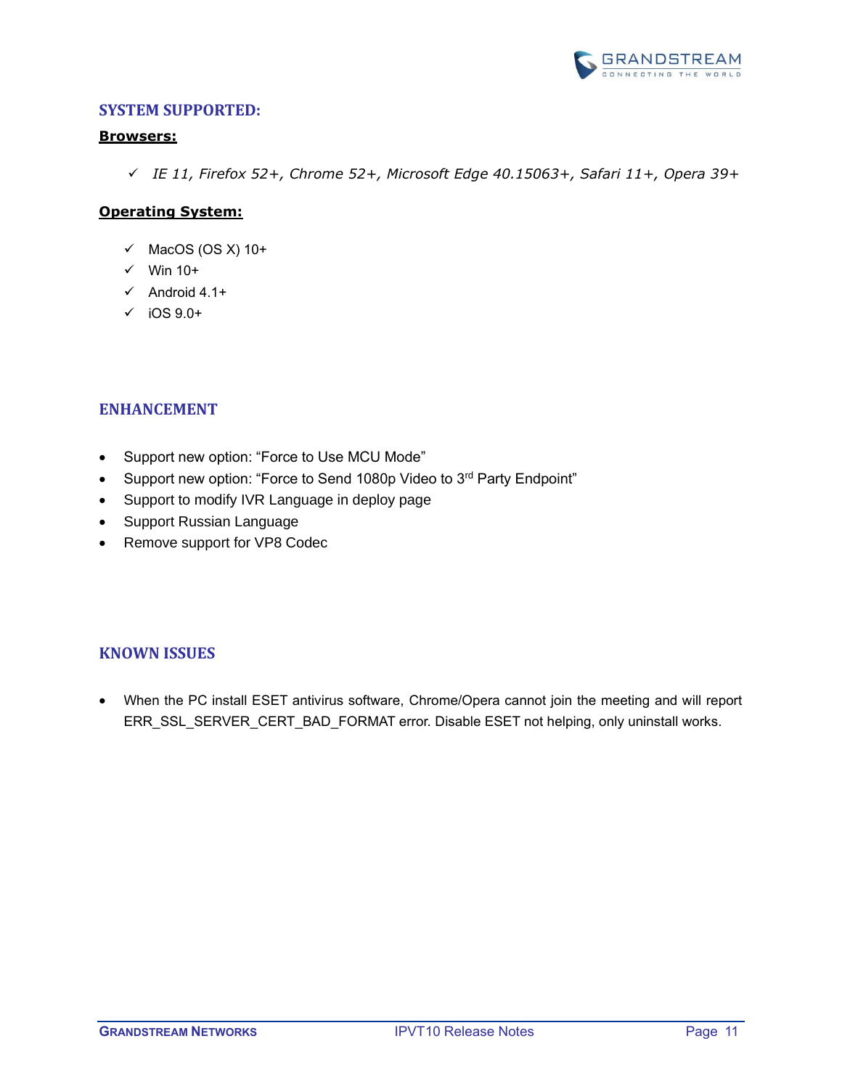

#### <span id="page-10-0"></span>**Browsers:**

✓ *IE 11, Firefox 52+, Chrome 52+, Microsoft Edge 40.15063+, Safari 11+, Opera 39+*

## **Operating System:**

- $\checkmark$  MacOS (OS X) 10+
- $\checkmark$  Win 10+
- $\checkmark$  Android 4.1+
- $\checkmark$  iOS 9.0+

## <span id="page-10-1"></span>**ENHANCEMENT**

- Support new option: "Force to Use MCU Mode"
- Support new option: "Force to Send 1080p Video to 3rd Party Endpoint"
- Support to modify IVR Language in deploy page
- Support Russian Language
- Remove support for VP8 Codec

## <span id="page-10-2"></span>**KNOWN ISSUES**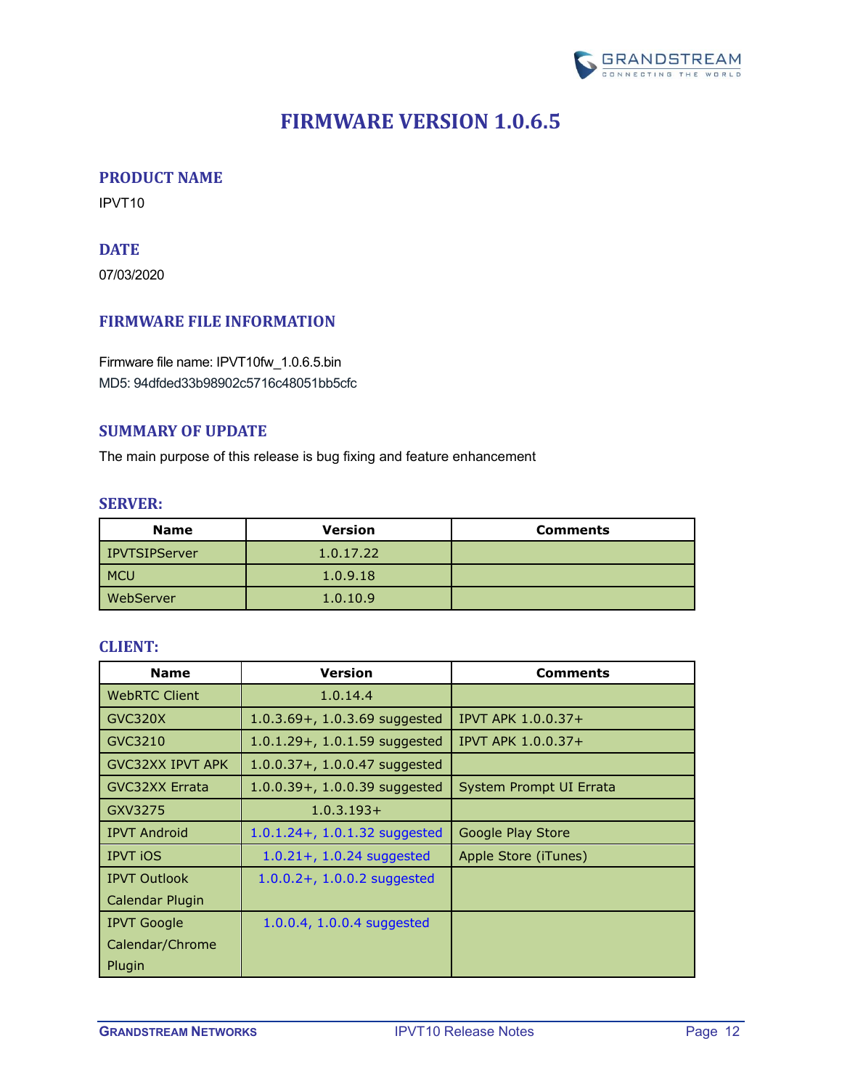

## **FIRMWARE VERSION 1.0.6.5**

#### <span id="page-11-1"></span><span id="page-11-0"></span>**PRODUCT NAME**

<span id="page-11-2"></span>IPVT10

## **DATE**

07/03/2020

## <span id="page-11-3"></span>**FIRMWARE FILE INFORMATION**

Firmware file name: IPVT10fw\_1.0.6.5.bin MD5: 94dfded33b98902c5716c48051bb5cfc

#### <span id="page-11-4"></span>**SUMMARY OF UPDATE**

<span id="page-11-5"></span>The main purpose of this release is bug fixing and feature enhancement

#### **SERVER:**

| <b>Name</b>      | <b>Version</b> | <b>Comments</b> |
|------------------|----------------|-----------------|
| l IPVTSIPServer  | 1.0.17.22      |                 |
| <b>MCU</b>       | 1.0.9.18       |                 |
| <b>WebServer</b> | 1.0.10.9       |                 |

<span id="page-11-6"></span>

| <b>Name</b>             | <b>Version</b>                    | <b>Comments</b>         |
|-------------------------|-----------------------------------|-------------------------|
| <b>WebRTC Client</b>    | 1.0.14.4                          |                         |
| GVC320X                 | 1.0.3.69+, 1.0.3.69 suggested     | IPVT APK 1.0.0.37+      |
| GVC3210                 | $1.0.1.29 + 0.1.59$ suggested     | IPVT APK 1.0.0.37+      |
| <b>GVC32XX IPVT APK</b> | $1.0.0.37 + 0.1.0.0.47$ suggested |                         |
| <b>GVC32XX Errata</b>   | $1.0.0.39 + 1.0.0.39$ suggested   | System Prompt UI Errata |
| GXV3275                 | $1.0.3.193+$                      |                         |
| <b>IPVT Android</b>     | $1.0.1.24 + 0.1.32$ suggested     | Google Play Store       |
| <b>IPVT iOS</b>         | $1.0.21 + 1.0.24$ suggested       | Apple Store (iTunes)    |
| <b>IPVT Outlook</b>     | $1.0.0.2 + 1.0.0.2$ suggested     |                         |
| Calendar Plugin         |                                   |                         |
| <b>IPVT Google</b>      | 1.0.0.4, 1.0.0.4 suggested        |                         |
| Calendar/Chrome         |                                   |                         |
| Plugin                  |                                   |                         |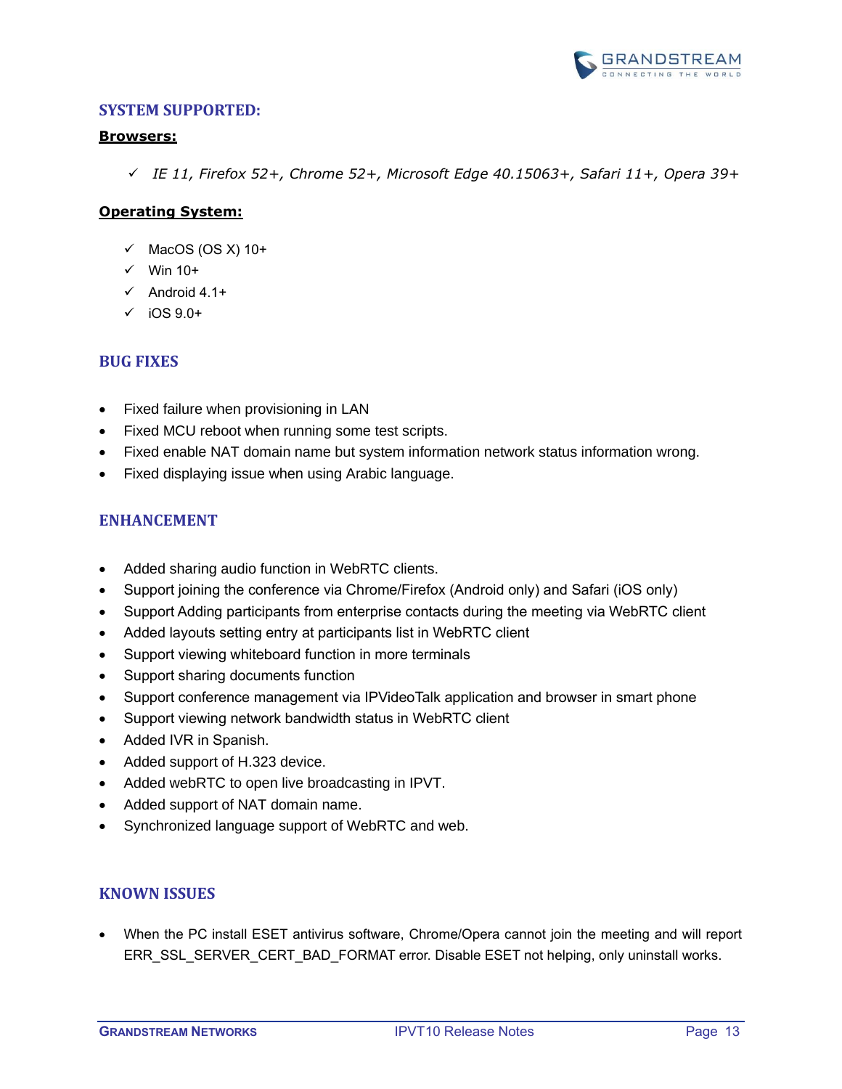

#### <span id="page-12-0"></span>**Browsers:**

✓ *IE 11, Firefox 52+, Chrome 52+, Microsoft Edge 40.15063+, Safari 11+, Opera 39+*

## **Operating System:**

- $\checkmark$  MacOS (OS X) 10+
- $\checkmark$  Win 10+
- $\checkmark$  Android 4.1+
- $\checkmark$  iOS 9.0+

#### <span id="page-12-1"></span>**BUG FIXES**

- Fixed failure when provisioning in LAN
- Fixed MCU reboot when running some test scripts.
- Fixed enable NAT domain name but system information network status information wrong.
- <span id="page-12-2"></span>• Fixed displaying issue when using Arabic language.

## **ENHANCEMENT**

- Added sharing audio function in WebRTC clients.
- Support joining the conference via Chrome/Firefox (Android only) and Safari (iOS only)
- Support Adding participants from enterprise contacts during the meeting via WebRTC client
- Added layouts setting entry at participants list in WebRTC client
- Support viewing whiteboard function in more terminals
- Support sharing documents function
- Support conference management via IPVideoTalk application and browser in smart phone
- Support viewing network bandwidth status in WebRTC client
- Added IVR in Spanish.
- Added support of H.323 device.
- Added webRTC to open live broadcasting in IPVT.
- Added support of NAT domain name.
- Synchronized language support of WebRTC and web.

## <span id="page-12-3"></span>**KNOWN ISSUES**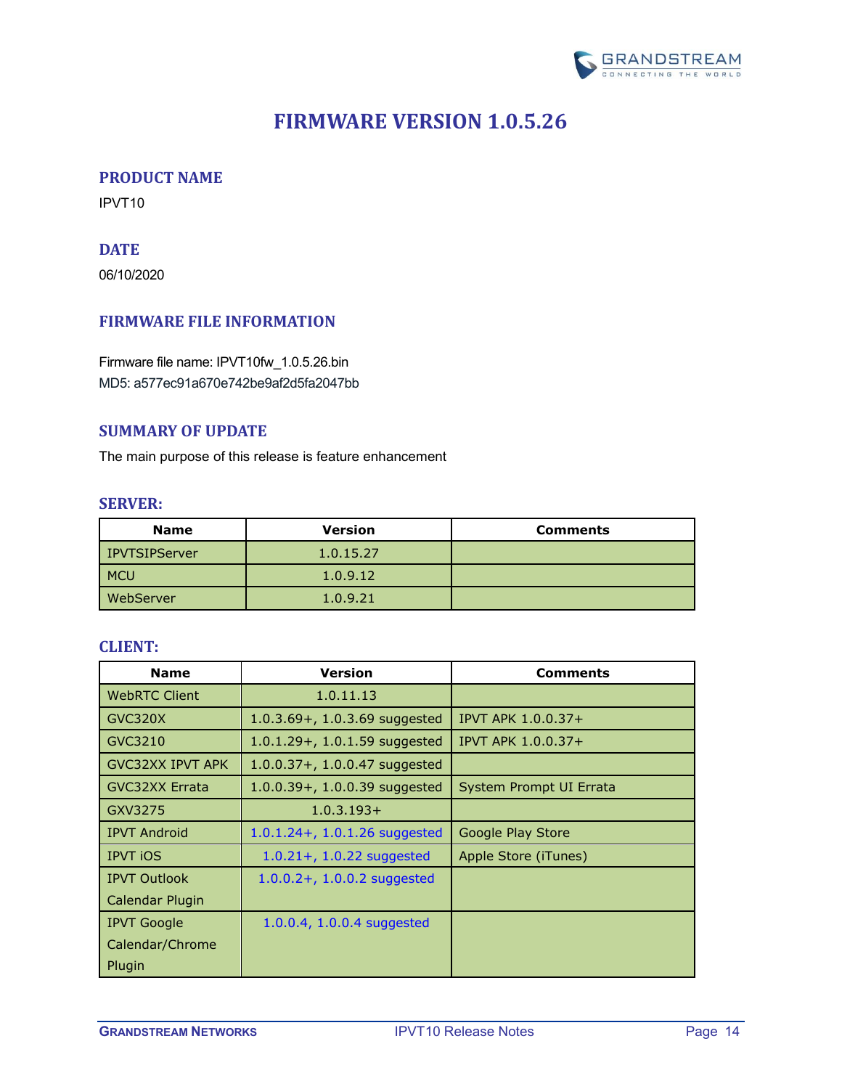

## **FIRMWARE VERSION 1.0.5.26**

### <span id="page-13-1"></span><span id="page-13-0"></span>**PRODUCT NAME**

<span id="page-13-2"></span>IPVT10

## **DATE**

06/10/2020

## <span id="page-13-3"></span>**FIRMWARE FILE INFORMATION**

Firmware file name: IPVT10fw\_1.0.5.26.bin MD5: a577ec91a670e742be9af2d5fa2047bb

#### <span id="page-13-4"></span>**SUMMARY OF UPDATE**

<span id="page-13-5"></span>The main purpose of this release is feature enhancement

#### **SERVER:**

| <b>Name</b>      | <b>Version</b> | <b>Comments</b> |
|------------------|----------------|-----------------|
| l IPVTSIPServer  | 1.0.15.27      |                 |
| <b>MCU</b>       | 1.0.9.12       |                 |
| <b>WebServer</b> | 1.0.9.21       |                 |

<span id="page-13-6"></span>

| <b>Name</b>             | <b>Version</b>                    | <b>Comments</b>         |
|-------------------------|-----------------------------------|-------------------------|
| <b>WebRTC Client</b>    | 1.0.11.13                         |                         |
| GVC320X                 | 1.0.3.69+, 1.0.3.69 suggested     | IPVT APK 1.0.0.37+      |
| GVC3210                 | $1.0.1.29 + 0.1.59$ suggested     | IPVT APK 1.0.0.37+      |
| <b>GVC32XX IPVT APK</b> | $1.0.0.37 + 0.1.0.0.47$ suggested |                         |
| <b>GVC32XX Errata</b>   | $1.0.0.39 + 1.0.0.39$ suggested   | System Prompt UI Errata |
| GXV3275                 | $1.0.3.193+$                      |                         |
| <b>IPVT Android</b>     | $1.0.1.24 + 0.1.26$ suggested     | Google Play Store       |
| <b>IPVT iOS</b>         | $1.0.21 + 1.0.22$ suggested       | Apple Store (iTunes)    |
| <b>IPVT Outlook</b>     | $1.0.0.2 + 1.0.0.2$ suggested     |                         |
| Calendar Plugin         |                                   |                         |
| <b>IPVT Google</b>      | 1.0.0.4, 1.0.0.4 suggested        |                         |
| Calendar/Chrome         |                                   |                         |
| Plugin                  |                                   |                         |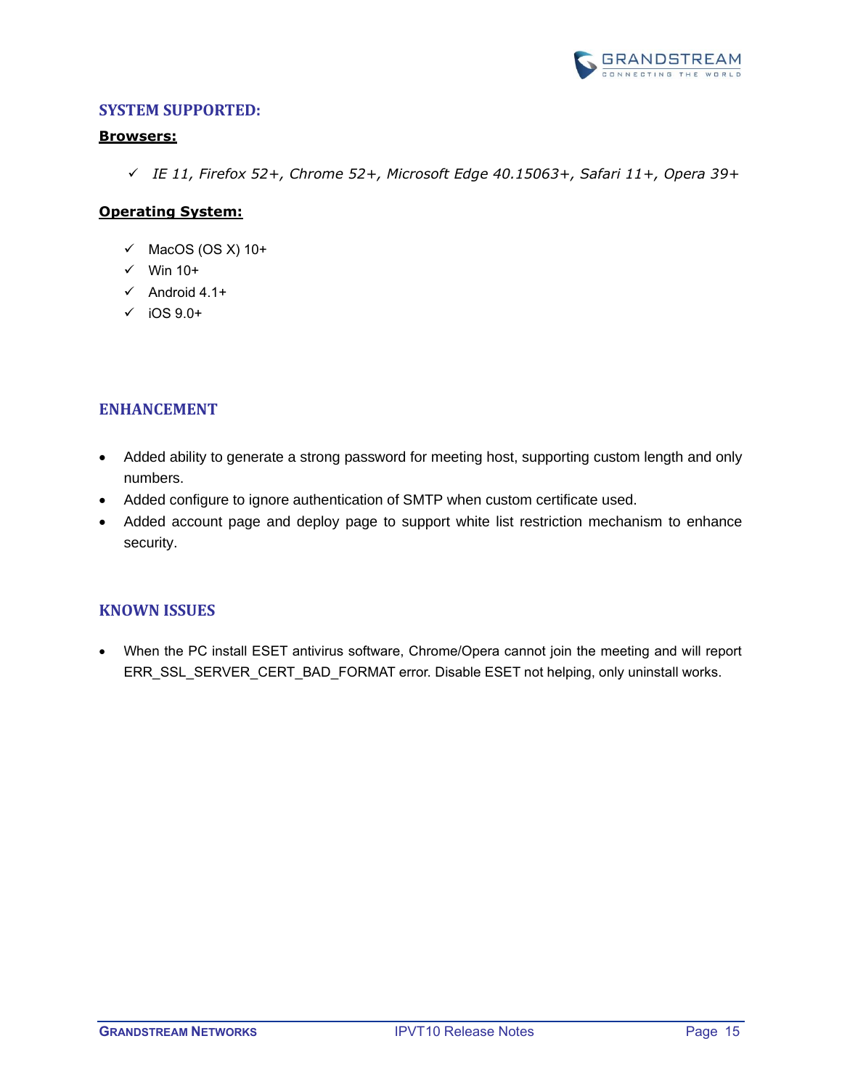

#### <span id="page-14-0"></span>**Browsers:**

✓ *IE 11, Firefox 52+, Chrome 52+, Microsoft Edge 40.15063+, Safari 11+, Opera 39+*

## **Operating System:**

- $\checkmark$  MacOS (OS X) 10+
- ✓ Win 10+
- $\checkmark$  Android 4.1+
- $\checkmark$  iOS 9.0+

## <span id="page-14-1"></span>**ENHANCEMENT**

- Added ability to generate a strong password for meeting host, supporting custom length and only numbers.
- Added configure to ignore authentication of SMTP when custom certificate used.
- Added account page and deploy page to support white list restriction mechanism to enhance security.

## <span id="page-14-2"></span>**KNOWN ISSUES**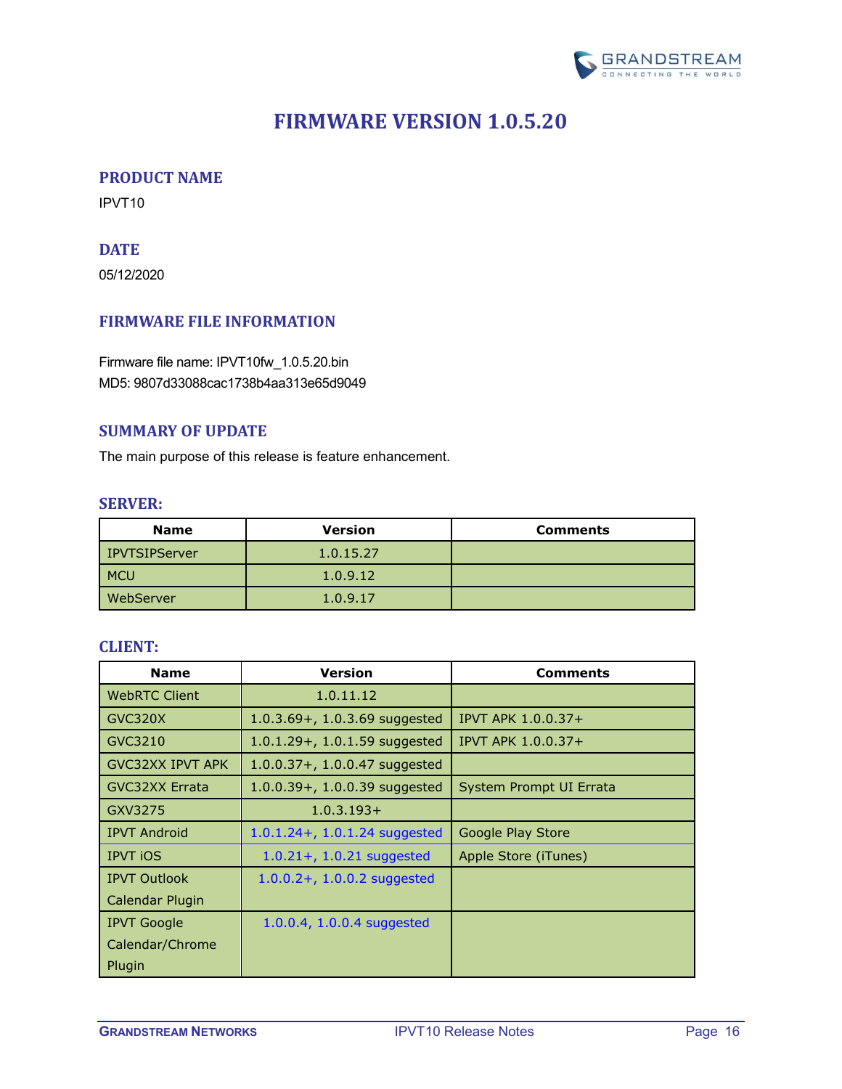

## **FIRMWARE VERSION 1.0.5.20**

### <span id="page-15-1"></span><span id="page-15-0"></span>**PRODUCT NAME**

<span id="page-15-2"></span>IPVT10

## **DATE**

05/12/2020

### <span id="page-15-3"></span>**FIRMWARE FILE INFORMATION**

Firmware file name: IPVT10fw\_1.0.5.20.bin MD5: 9807d33088cac1738b4aa313e65d9049

#### <span id="page-15-4"></span>**SUMMARY OF UPDATE**

<span id="page-15-5"></span>The main purpose of this release is feature enhancement.

#### **SERVER:**

| <b>Name</b>      | <b>Version</b> | <b>Comments</b> |
|------------------|----------------|-----------------|
| l IPVTSIPServer  | 1.0.15.27      |                 |
| <b>MCU</b>       | 1.0.9.12       |                 |
| <b>WebServer</b> | 1.0.9.17       |                 |

<span id="page-15-6"></span>

| <b>Name</b>             | <b>Version</b>                    | <b>Comments</b>         |
|-------------------------|-----------------------------------|-------------------------|
| <b>WebRTC Client</b>    | 1.0.11.12                         |                         |
| GVC320X                 | 1.0.3.69+, 1.0.3.69 suggested     | IPVT APK 1.0.0.37+      |
| GVC3210                 | $1.0.1.29 + 0.1.59$ suggested     | IPVT APK 1.0.0.37+      |
| <b>GVC32XX IPVT APK</b> | $1.0.0.37 + 0.1.0.0.47$ suggested |                         |
| <b>GVC32XX Errata</b>   | $1.0.0.39 + 1.0.0.39$ suggested   | System Prompt UI Errata |
| GXV3275                 | $1.0.3.193+$                      |                         |
| <b>IPVT Android</b>     | $1.0.1.24 + 0.1.24$ suggested     | Google Play Store       |
| <b>IPVT iOS</b>         | $1.0.21 + 1.0.21$ suggested       | Apple Store (iTunes)    |
| <b>IPVT Outlook</b>     | $1.0.0.2 + 1.0.0.2$ suggested     |                         |
| Calendar Plugin         |                                   |                         |
| <b>IPVT Google</b>      | 1.0.0.4, 1.0.0.4 suggested        |                         |
| Calendar/Chrome         |                                   |                         |
| Plugin                  |                                   |                         |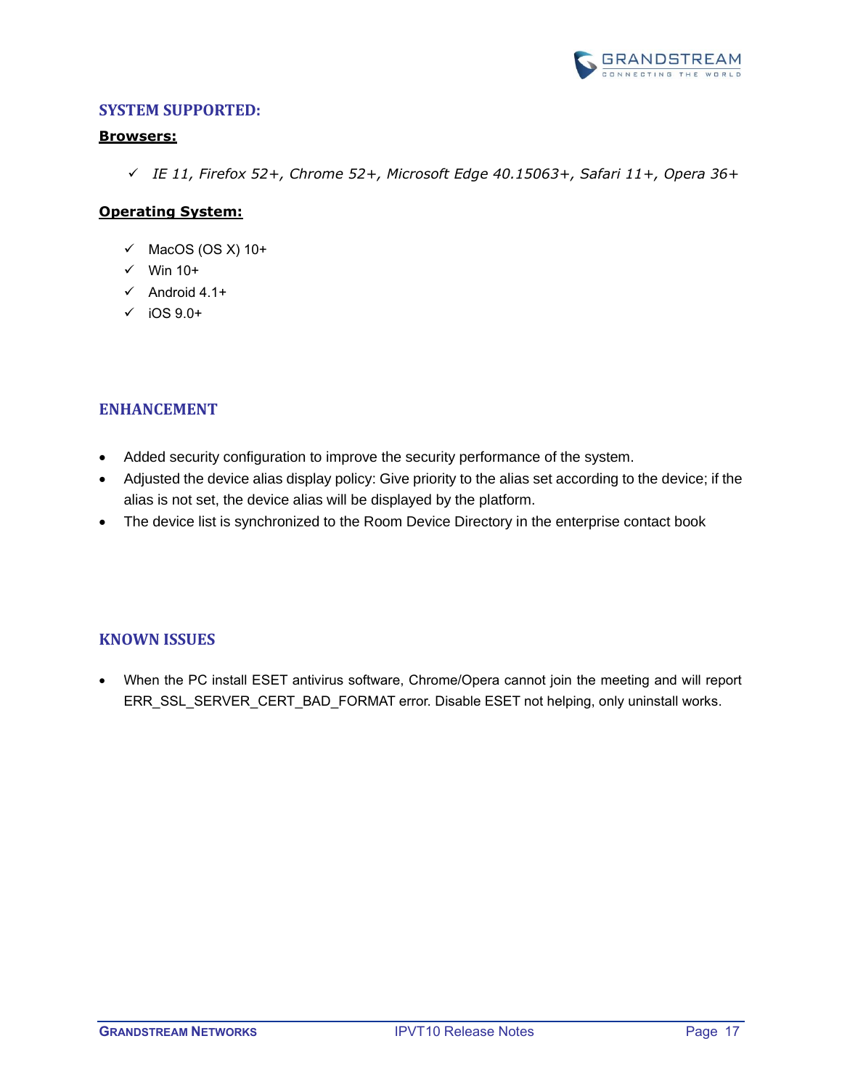

#### <span id="page-16-0"></span>**Browsers:**

✓ *IE 11, Firefox 52+, Chrome 52+, Microsoft Edge 40.15063+, Safari 11+, Opera 36+*

## **Operating System:**

- $\checkmark$  MacOS (OS X) 10+
- ✓ Win 10+
- $\checkmark$  Android 4.1+
- $\checkmark$  iOS 9.0+

## <span id="page-16-1"></span>**ENHANCEMENT**

- Added security configuration to improve the security performance of the system.
- Adjusted the device alias display policy: Give priority to the alias set according to the device; if the alias is not set, the device alias will be displayed by the platform.
- The device list is synchronized to the Room Device Directory in the enterprise contact book

## <span id="page-16-2"></span>**KNOWN ISSUES**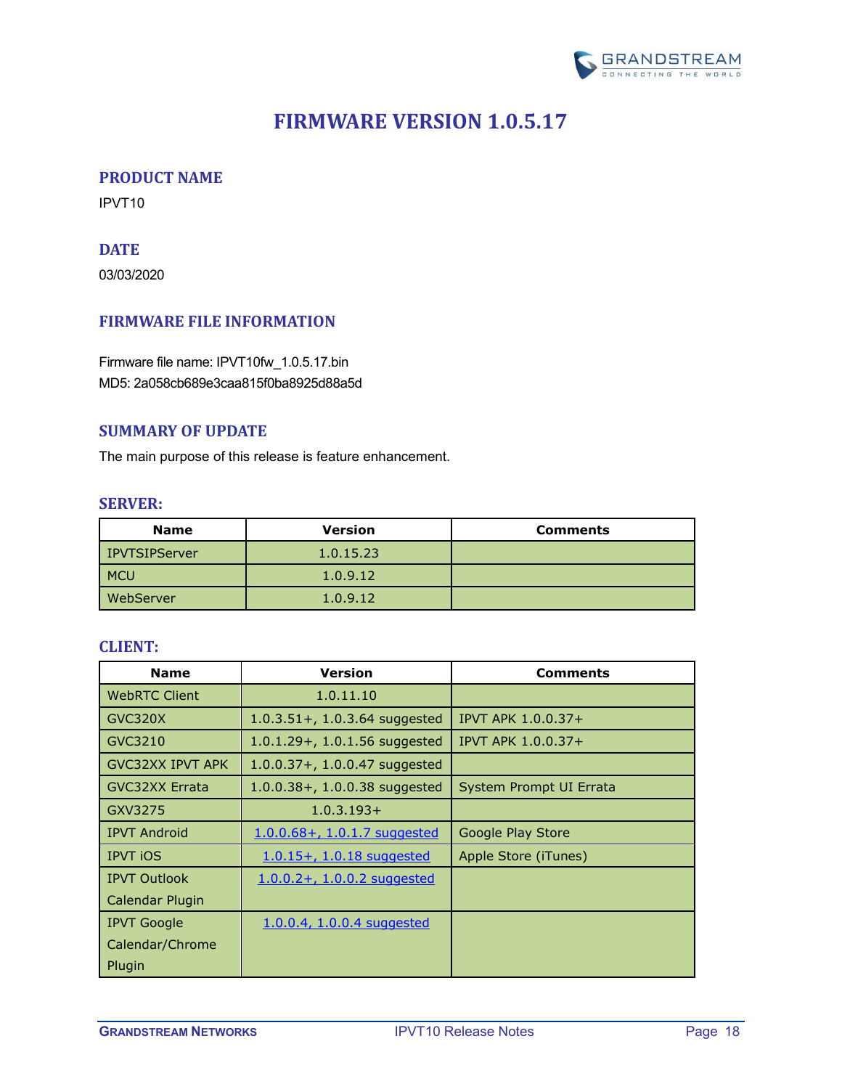

## **FIRMWARE VERSION 1.0.5.17**

### <span id="page-17-1"></span><span id="page-17-0"></span>**PRODUCT NAME**

<span id="page-17-2"></span>IPVT10

## **DATE**

03/03/2020

## <span id="page-17-3"></span>**FIRMWARE FILE INFORMATION**

Firmware file name: IPVT10fw\_1.0.5.17.bin MD5: 2a058cb689e3caa815f0ba8925d88a5d

#### <span id="page-17-4"></span>**SUMMARY OF UPDATE**

<span id="page-17-5"></span>The main purpose of this release is feature enhancement.

#### **SERVER:**

| <b>Name</b>      | <b>Version</b> | <b>Comments</b> |
|------------------|----------------|-----------------|
| l IPVTSIPServer  | 1.0.15.23      |                 |
| <b>MCU</b>       | 1.0.9.12       |                 |
| <b>WebServer</b> | 1.0.9.12       |                 |

<span id="page-17-6"></span>

| <b>Name</b>             | <b>Version</b>                    | <b>Comments</b>         |
|-------------------------|-----------------------------------|-------------------------|
| <b>WebRTC Client</b>    | 1.0.11.10                         |                         |
| GVC320X                 | $1.0.3.51 +$ , 1.0.3.64 suggested | IPVT APK 1.0.0.37+      |
| GVC3210                 | $1.0.1.29 + 0.1.56$ suggested     | IPVT APK 1.0.0.37+      |
| <b>GVC32XX IPVT APK</b> | $1.0.0.37 + 0.1.0.0.47$ suggested |                         |
| <b>GVC32XX Errata</b>   | $1.0.0.38 + 0.1.0.0.38$ suggested | System Prompt UI Errata |
| GXV3275                 | $1.0.3.193+$                      |                         |
| <b>IPVT Android</b>     | $1.0.0.68 + 1.0.1.7$ suggested    | Google Play Store       |
| <b>IPVT iOS</b>         | 1.0.15+, 1.0.18 suggested         | Apple Store (iTunes)    |
| <b>IPVT Outlook</b>     | $1.0.0.2 + 0.1.0.0.2$ suggested   |                         |
| Calendar Plugin         |                                   |                         |
| <b>IPVT Google</b>      | 1.0.0.4, 1.0.0.4 suggested        |                         |
| Calendar/Chrome         |                                   |                         |
| Plugin                  |                                   |                         |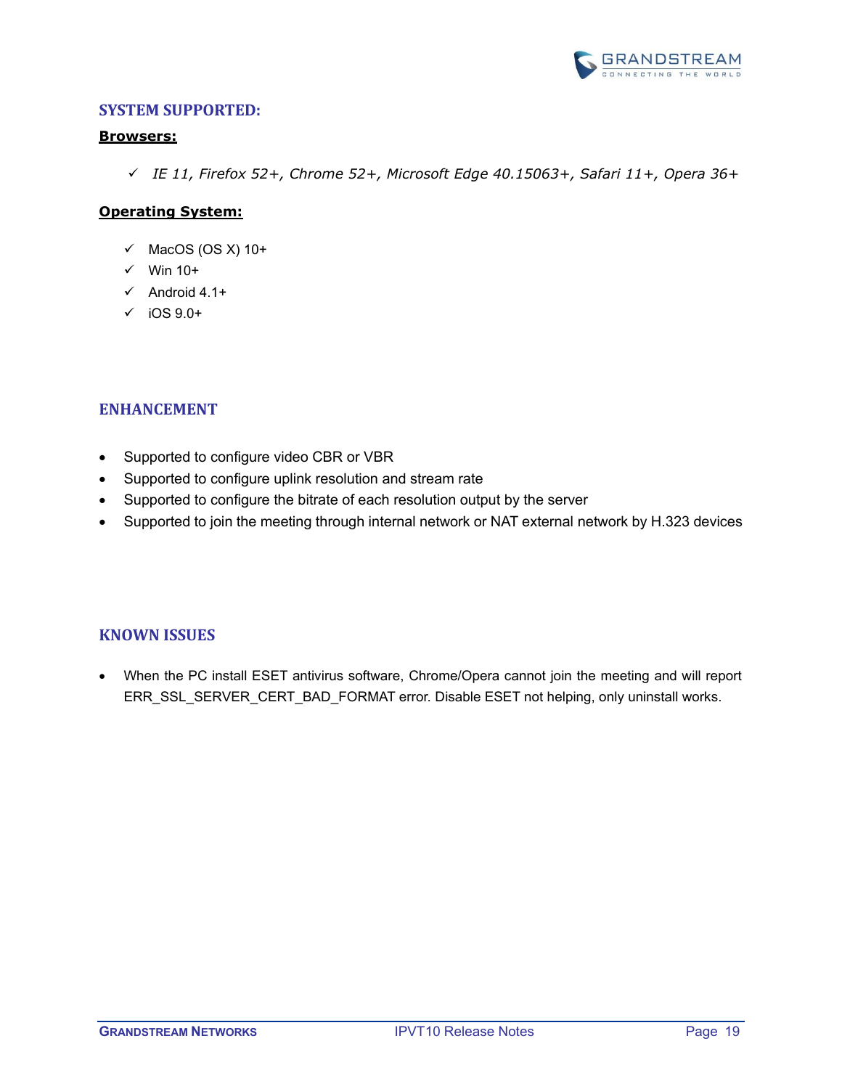

#### <span id="page-18-0"></span>**Browsers:**

✓ *IE 11, Firefox 52+, Chrome 52+, Microsoft Edge 40.15063+, Safari 11+, Opera 36+*

#### **Operating System:**

- $\checkmark$  MacOS (OS X) 10+
- $\checkmark$  Win 10+
- $\checkmark$  Android 4.1+
- $\checkmark$  iOS 9.0+

### <span id="page-18-1"></span>**ENHANCEMENT**

- Supported to configure video CBR or VBR
- Supported to configure uplink resolution and stream rate
- Supported to configure the bitrate of each resolution output by the server
- Supported to join the meeting through internal network or NAT external network by H.323 devices

#### <span id="page-18-2"></span>**KNOWN ISSUES**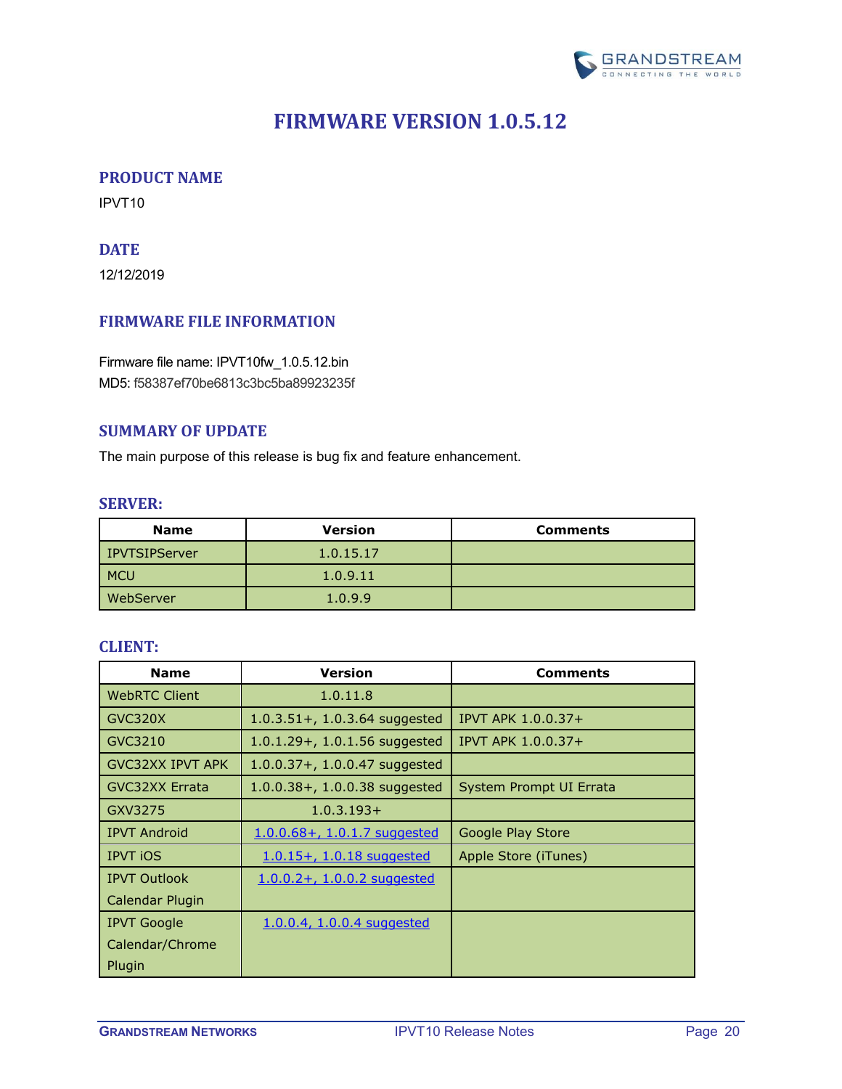

## **FIRMWARE VERSION 1.0.5.12**

### <span id="page-19-1"></span><span id="page-19-0"></span>**PRODUCT NAME**

<span id="page-19-2"></span>IPVT10

## **DATE**

12/12/2019

## <span id="page-19-3"></span>**FIRMWARE FILE INFORMATION**

Firmware file name: IPVT10fw\_1.0.5.12.bin MD5: f58387ef70be6813c3bc5ba89923235f

#### <span id="page-19-4"></span>**SUMMARY OF UPDATE**

<span id="page-19-5"></span>The main purpose of this release is bug fix and feature enhancement.

#### **SERVER:**

| <b>Name</b>   | <b>Version</b> | <b>Comments</b> |
|---------------|----------------|-----------------|
| IPVTSIPServer | 1.0.15.17      |                 |
| <b>MCU</b>    | 1.0.9.11       |                 |
| WebServer     | 1.0.9.9        |                 |

<span id="page-19-6"></span>

| <b>Name</b>             | <b>Version</b>                    | <b>Comments</b>         |
|-------------------------|-----------------------------------|-------------------------|
| <b>WebRTC Client</b>    | 1.0.11.8                          |                         |
| GVC320X                 | $1.0.3.51 +$ , 1.0.3.64 suggested | IPVT APK 1.0.0.37+      |
| GVC3210                 | $1.0.1.29 + 0.1.56$ suggested     | IPVT APK 1.0.0.37+      |
| <b>GVC32XX IPVT APK</b> | $1.0.0.37 + 0.1.0.0.47$ suggested |                         |
| <b>GVC32XX Errata</b>   | $1.0.0.38 + 1.0.0.38$ suggested   | System Prompt UI Errata |
| GXV3275                 | $1.0.3.193+$                      |                         |
| <b>IPVT Android</b>     | $1.0.0.68 + 1.0.1.7$ suggested    | Google Play Store       |
| <b>IPVT iOS</b>         | 1.0.15+, 1.0.18 suggested         | Apple Store (iTunes)    |
| <b>IPVT Outlook</b>     | $1.0.0.2 + 1.0.0.2$ suggested     |                         |
| Calendar Plugin         |                                   |                         |
| <b>IPVT Google</b>      | 1.0.0.4, 1.0.0.4 suggested        |                         |
| Calendar/Chrome         |                                   |                         |
| Plugin                  |                                   |                         |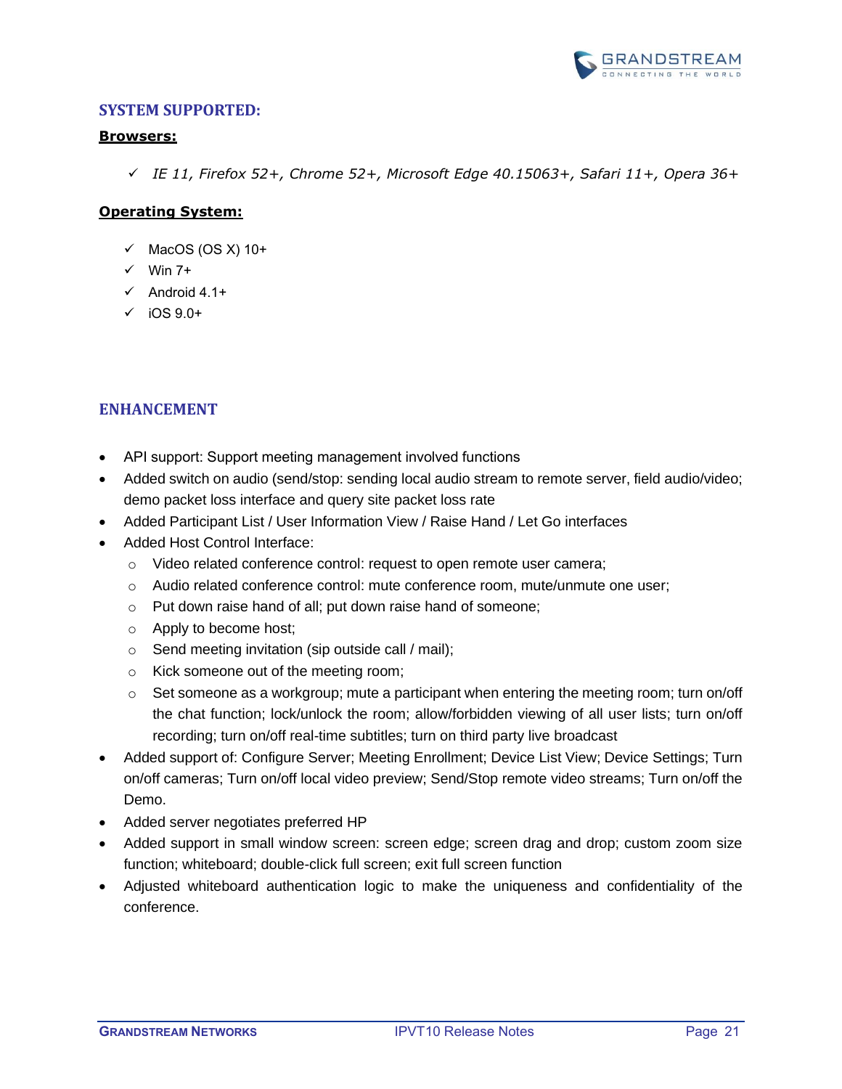

#### <span id="page-20-0"></span>**Browsers:**

✓ *IE 11, Firefox 52+, Chrome 52+, Microsoft Edge 40.15063+, Safari 11+, Opera 36+*

## **Operating System:**

- $\checkmark$  MacOS (OS X) 10+
- $\checkmark$  Win 7+
- $\checkmark$  Android 4.1+
- $\checkmark$  iOS 9.0+

## <span id="page-20-1"></span>**ENHANCEMENT**

- API support: Support meeting management involved functions
- Added switch on audio (send/stop: sending local audio stream to remote server, field audio/video; demo packet loss interface and query site packet loss rate
- Added Participant List / User Information View / Raise Hand / Let Go interfaces
- Added Host Control Interface:
	- o Video related conference control: request to open remote user camera;
	- o Audio related conference control: mute conference room, mute/unmute one user;
	- o Put down raise hand of all; put down raise hand of someone;
	- o Apply to become host;
	- o Send meeting invitation (sip outside call / mail);
	- o Kick someone out of the meeting room;
	- $\circ$  Set someone as a workgroup; mute a participant when entering the meeting room; turn on/off the chat function; lock/unlock the room; allow/forbidden viewing of all user lists; turn on/off recording; turn on/off real-time subtitles; turn on third party live broadcast
- Added support of: Configure Server; Meeting Enrollment; Device List View; Device Settings; Turn on/off cameras; Turn on/off local video preview; Send/Stop remote video streams; Turn on/off the Demo.
- Added server negotiates preferred HP
- Added support in small window screen: screen edge; screen drag and drop; custom zoom size function; whiteboard; double-click full screen; exit full screen function
- Adjusted whiteboard authentication logic to make the uniqueness and confidentiality of the conference.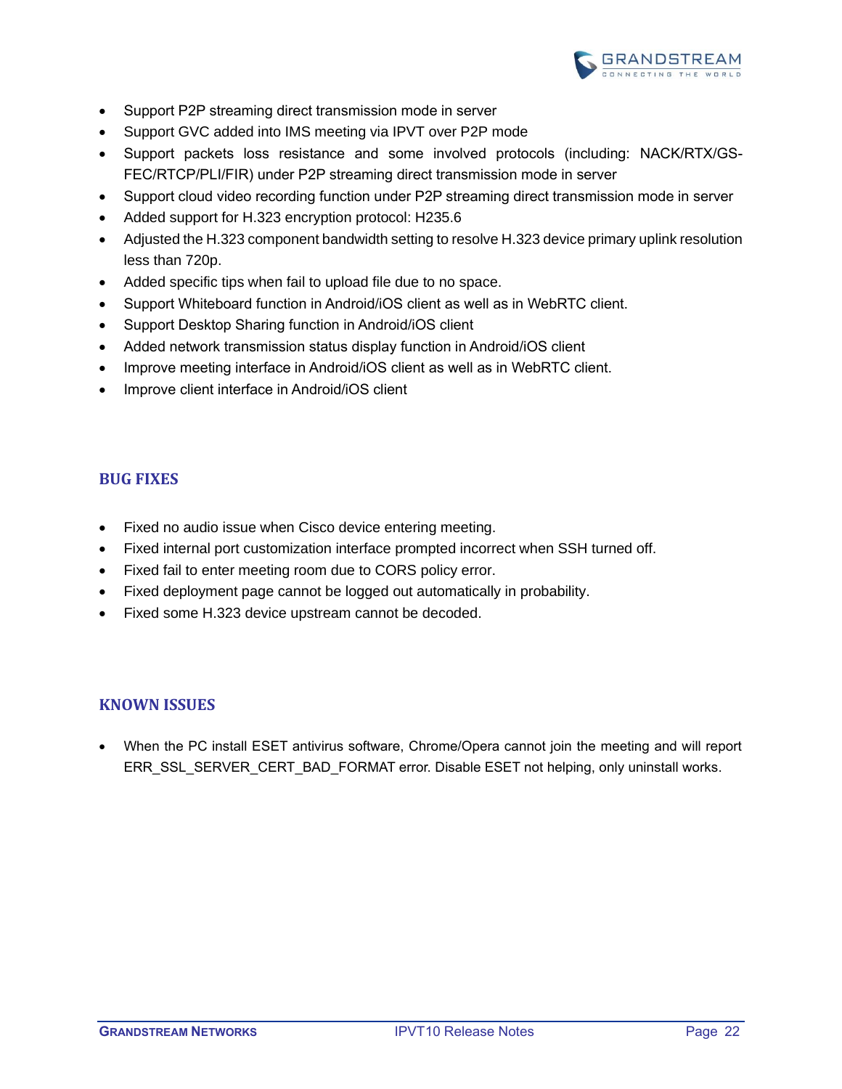

- Support P2P streaming direct transmission mode in server
- Support GVC added into IMS meeting via IPVT over P2P mode
- Support packets loss resistance and some involved protocols (including: NACK/RTX/GS-FEC/RTCP/PLI/FIR) under P2P streaming direct transmission mode in server
- Support cloud video recording function under P2P streaming direct transmission mode in server
- Added support for H.323 encryption protocol: H235.6
- Adjusted the H.323 component bandwidth setting to resolve H.323 device primary uplink resolution less than 720p.
- Added specific tips when fail to upload file due to no space.
- Support Whiteboard function in Android/iOS client as well as in WebRTC client.
- Support Desktop Sharing function in Android/iOS client
- Added network transmission status display function in Android/iOS client
- Improve meeting interface in Android/iOS client as well as in WebRTC client.
- Improve client interface in Android/iOS client

### <span id="page-21-0"></span>**BUG FIXES**

- Fixed no audio issue when Cisco device entering meeting.
- Fixed internal port customization interface prompted incorrect when SSH turned off.
- Fixed fail to enter meeting room due to CORS policy error.
- Fixed deployment page cannot be logged out automatically in probability.
- Fixed some H.323 device upstream cannot be decoded.

## <span id="page-21-1"></span>**KNOWN ISSUES**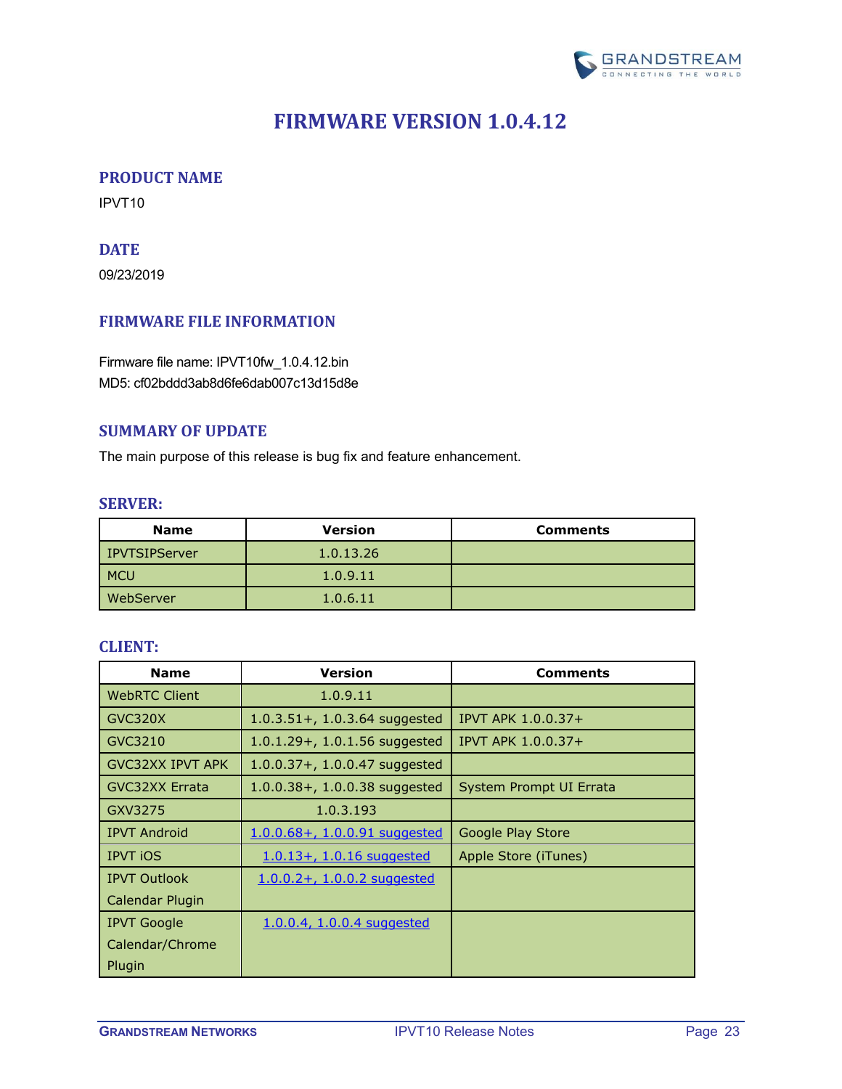

## **FIRMWARE VERSION 1.0.4.12**

### <span id="page-22-1"></span><span id="page-22-0"></span>**PRODUCT NAME**

<span id="page-22-2"></span>IPVT10

## **DATE**

09/23/2019

## <span id="page-22-3"></span>**FIRMWARE FILE INFORMATION**

Firmware file name: IPVT10fw\_1.0.4.12.bin MD5: cf02bddd3ab8d6fe6dab007c13d15d8e

#### <span id="page-22-4"></span>**SUMMARY OF UPDATE**

<span id="page-22-5"></span>The main purpose of this release is bug fix and feature enhancement.

#### **SERVER:**

| <b>Name</b>      | <b>Version</b> | <b>Comments</b> |
|------------------|----------------|-----------------|
| IPVTSIPServer    | 1.0.13.26      |                 |
| <b>MCU</b>       | 1.0.9.11       |                 |
| <b>WebServer</b> | 1.0.6.11       |                 |

<span id="page-22-6"></span>

| <b>Name</b>             | <b>Version</b>                    | <b>Comments</b>         |
|-------------------------|-----------------------------------|-------------------------|
| <b>WebRTC Client</b>    | 1.0.9.11                          |                         |
| GVC320X                 | $1.0.3.51 +$ , 1.0.3.64 suggested | IPVT APK 1.0.0.37+      |
| GVC3210                 | $1.0.1.29 + 0.1.56$ suggested     | IPVT APK 1.0.0.37+      |
| <b>GVC32XX IPVT APK</b> | $1.0.0.37 + 0.1.0.0.47$ suggested |                         |
| <b>GVC32XX Errata</b>   | $1.0.0.38 + 1.0.0.38$ suggested   | System Prompt UI Errata |
| GXV3275                 | 1.0.3.193                         |                         |
| <b>IPVT Android</b>     | 1.0.0.68+, 1.0.0.91 suggested     | Google Play Store       |
| <b>IPVT iOS</b>         | $1.0.13 + 1.0.16$ suggested       | Apple Store (iTunes)    |
| <b>IPVT Outlook</b>     | $1.0.0.2 + 1.0.0.2$ suggested     |                         |
| Calendar Plugin         |                                   |                         |
| <b>IPVT Google</b>      | 1.0.0.4, 1.0.0.4 suggested        |                         |
| Calendar/Chrome         |                                   |                         |
| Plugin                  |                                   |                         |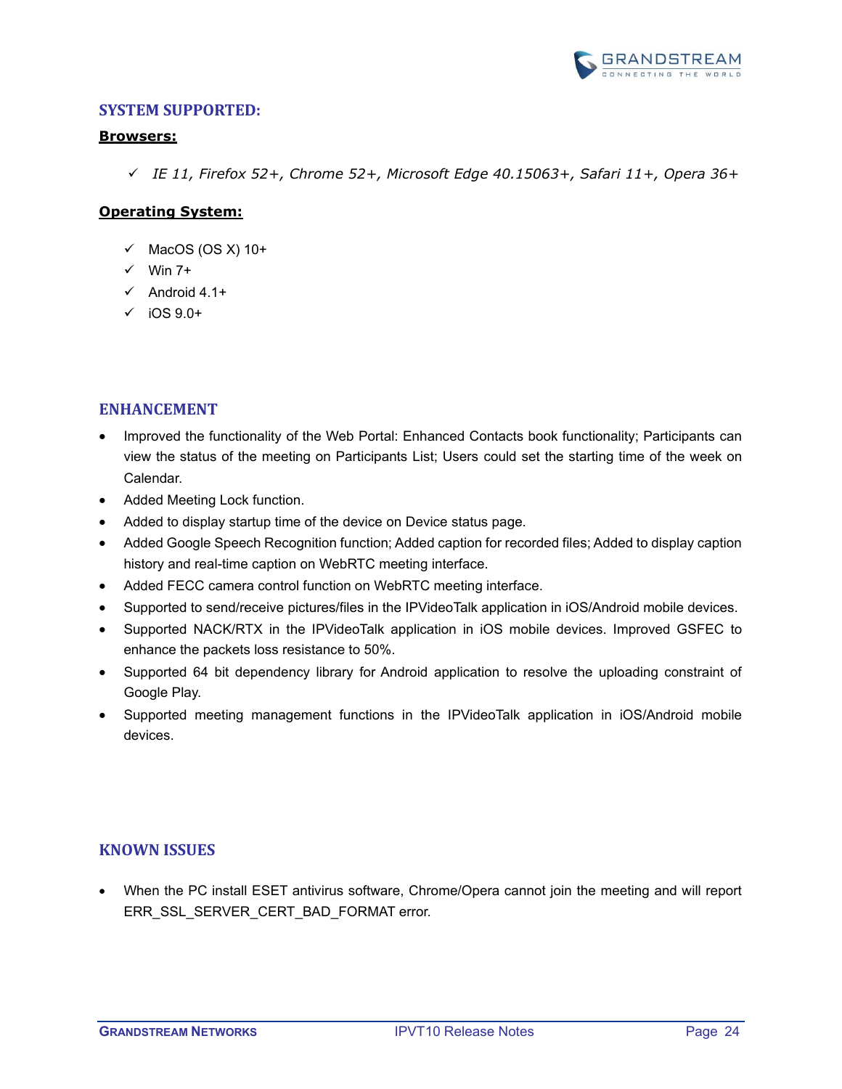

#### <span id="page-23-0"></span>**Browsers:**

✓ *IE 11, Firefox 52+, Chrome 52+, Microsoft Edge 40.15063+, Safari 11+, Opera 36+*

## **Operating System:**

- $\checkmark$  MacOS (OS X) 10+
- $\checkmark$  Win 7+
- $\checkmark$  Android 4.1+
- $\checkmark$  iOS 9.0+

## <span id="page-23-1"></span>**ENHANCEMENT**

- Improved the functionality of the Web Portal: Enhanced Contacts book functionality; Participants can view the status of the meeting on Participants List; Users could set the starting time of the week on Calendar.
- Added Meeting Lock function.
- Added to display startup time of the device on Device status page.
- Added Google Speech Recognition function; Added caption for recorded files; Added to display caption history and real-time caption on WebRTC meeting interface.
- Added FECC camera control function on WebRTC meeting interface.
- Supported to send/receive pictures/files in the IPVideoTalk application in iOS/Android mobile devices.
- Supported NACK/RTX in the IPVideoTalk application in iOS mobile devices. Improved GSFEC to enhance the packets loss resistance to 50%.
- Supported 64 bit dependency library for Android application to resolve the uploading constraint of Google Play.
- Supported meeting management functions in the IPVideoTalk application in iOS/Android mobile devices.

## <span id="page-23-2"></span>**KNOWN ISSUES**

• When the PC install ESET antivirus software, Chrome/Opera cannot join the meeting and will report ERR\_SSL\_SERVER\_CERT\_BAD\_FORMAT error.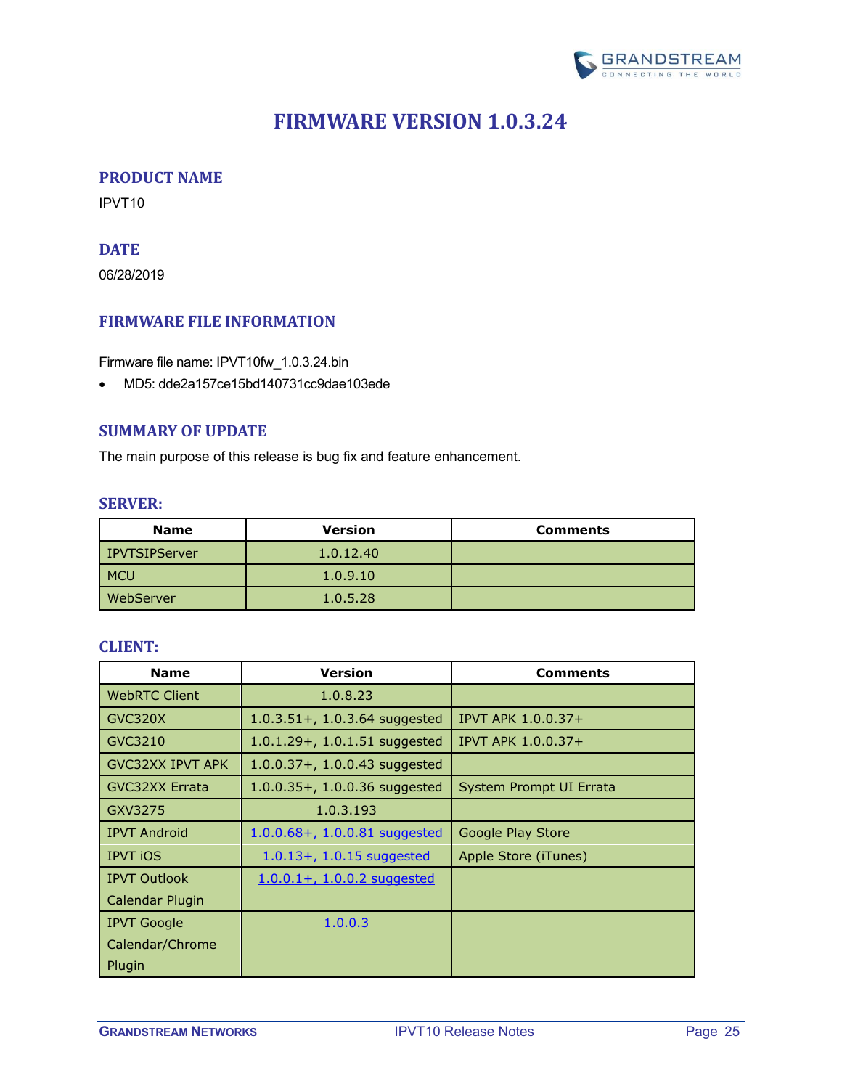

## **FIRMWARE VERSION 1.0.3.24**

### <span id="page-24-1"></span><span id="page-24-0"></span>**PRODUCT NAME**

<span id="page-24-2"></span>IPVT10

## **DATE**

06/28/2019

### <span id="page-24-3"></span>**FIRMWARE FILE INFORMATION**

Firmware file name: IPVT10fw\_1.0.3.24.bin

• MD5: dde2a157ce15bd140731cc9dae103ede

#### <span id="page-24-4"></span>**SUMMARY OF UPDATE**

<span id="page-24-5"></span>The main purpose of this release is bug fix and feature enhancement.

#### **SERVER:**

| <b>Name</b>      | <b>Version</b> | <b>Comments</b> |
|------------------|----------------|-----------------|
| IPVTSIPServer    | 1.0.12.40      |                 |
| <b>MCU</b>       | 1.0.9.10       |                 |
| <b>WebServer</b> | 1.0.5.28       |                 |

<span id="page-24-6"></span>

| <b>Name</b>             | <b>Version</b>                    | <b>Comments</b>         |
|-------------------------|-----------------------------------|-------------------------|
| <b>WebRTC Client</b>    | 1.0.8.23                          |                         |
| GVC320X                 | $1.0.3.51 +$ , 1.0.3.64 suggested | IPVT APK 1.0.0.37+      |
| GVC3210                 | $1.0.1.29 + 0.1.51$ suggested     | IPVT APK 1.0.0.37+      |
| <b>GVC32XX IPVT APK</b> | $1.0.0.37 + 0.1.0.0.43$ suggested |                         |
| <b>GVC32XX Errata</b>   | $1.0.0.35 + 1.0.0.36$ suggested   | System Prompt UI Errata |
| GXV3275                 | 1.0.3.193                         |                         |
| <b>IPVT Android</b>     | 1.0.0.68+, 1.0.0.81 suggested     | Google Play Store       |
| <b>IPVT iOS</b>         | 1.0.13+, 1.0.15 suggested         | Apple Store (iTunes)    |
| <b>IPVT Outlook</b>     | $1.0.0.1 + 1.0.0.2$ suggested     |                         |
| Calendar Plugin         |                                   |                         |
| <b>IPVT Google</b>      | 1.0.0.3                           |                         |
| Calendar/Chrome         |                                   |                         |
| Plugin                  |                                   |                         |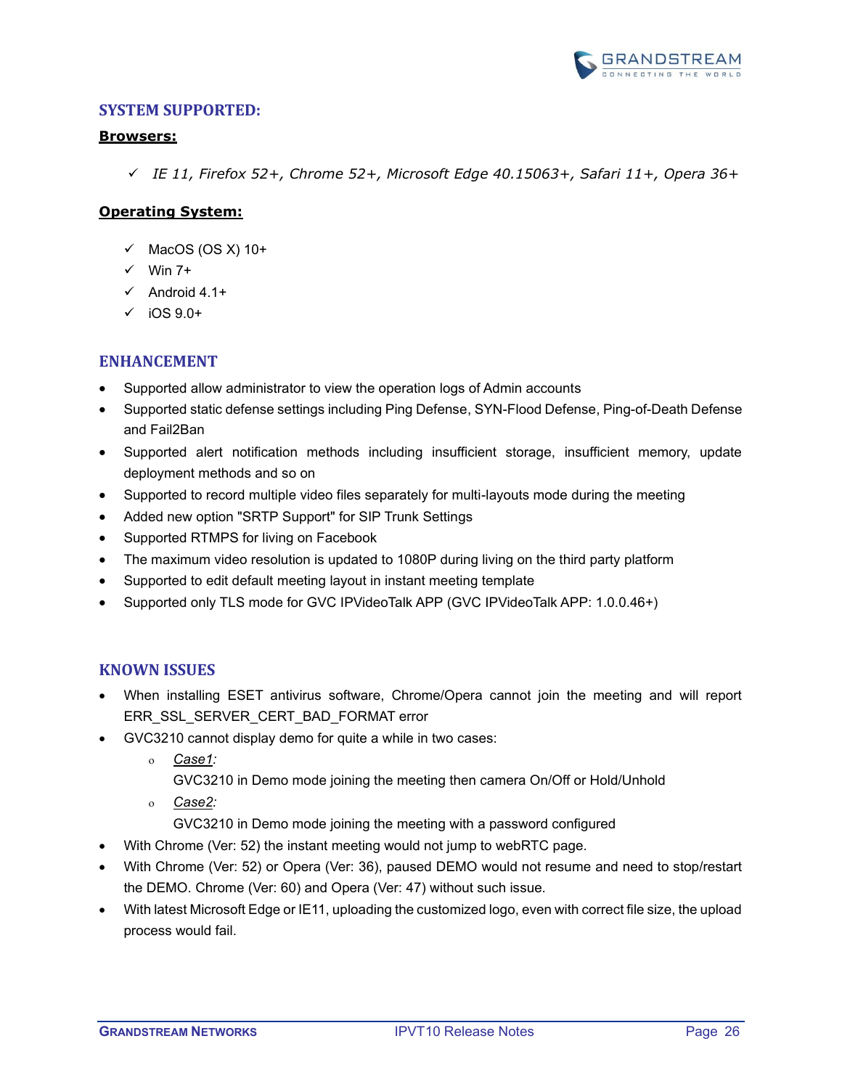

#### <span id="page-25-0"></span>**Browsers:**

✓ *IE 11, Firefox 52+, Chrome 52+, Microsoft Edge 40.15063+, Safari 11+, Opera 36+*

## **Operating System:**

- $\checkmark$  MacOS (OS X) 10+
- $\checkmark$  Win 7+
- $\checkmark$  Android 4.1+
- $\checkmark$  iOS 9.0+

## <span id="page-25-1"></span>**ENHANCEMENT**

- Supported allow administrator to view the operation logs of Admin accounts
- Supported static defense settings including Ping Defense, SYN-Flood Defense, Ping-of-Death Defense and Fail2Ban
- Supported alert notification methods including insufficient storage, insufficient memory, update deployment methods and so on
- Supported to record multiple video files separately for multi-layouts mode during the meeting
- Added new option "SRTP Support" for SIP Trunk Settings
- Supported RTMPS for living on Facebook
- The maximum video resolution is updated to 1080P during living on the third party platform
- Supported to edit default meeting layout in instant meeting template
- Supported only TLS mode for GVC IPVideoTalk APP (GVC IPVideoTalk APP: 1.0.0.46+)

## <span id="page-25-2"></span>**KNOWN ISSUES**

- When installing ESET antivirus software, Chrome/Opera cannot join the meeting and will report ERR\_SSL\_SERVER\_CERT\_BAD\_FORMAT error
- GVC3210 cannot display demo for quite a while in two cases:
	- *Case1:* 
		- GVC3210 in Demo mode joining the meeting then camera On/Off or Hold/Unhold
	- *Case2:*
		- GVC3210 in Demo mode joining the meeting with a password configured
- With Chrome (Ver: 52) the instant meeting would not jump to webRTC page.
- With Chrome (Ver: 52) or Opera (Ver: 36), paused DEMO would not resume and need to stop/restart the DEMO. Chrome (Ver: 60) and Opera (Ver: 47) without such issue.
- With latest Microsoft Edge or IE11, uploading the customized logo, even with correct file size, the upload process would fail.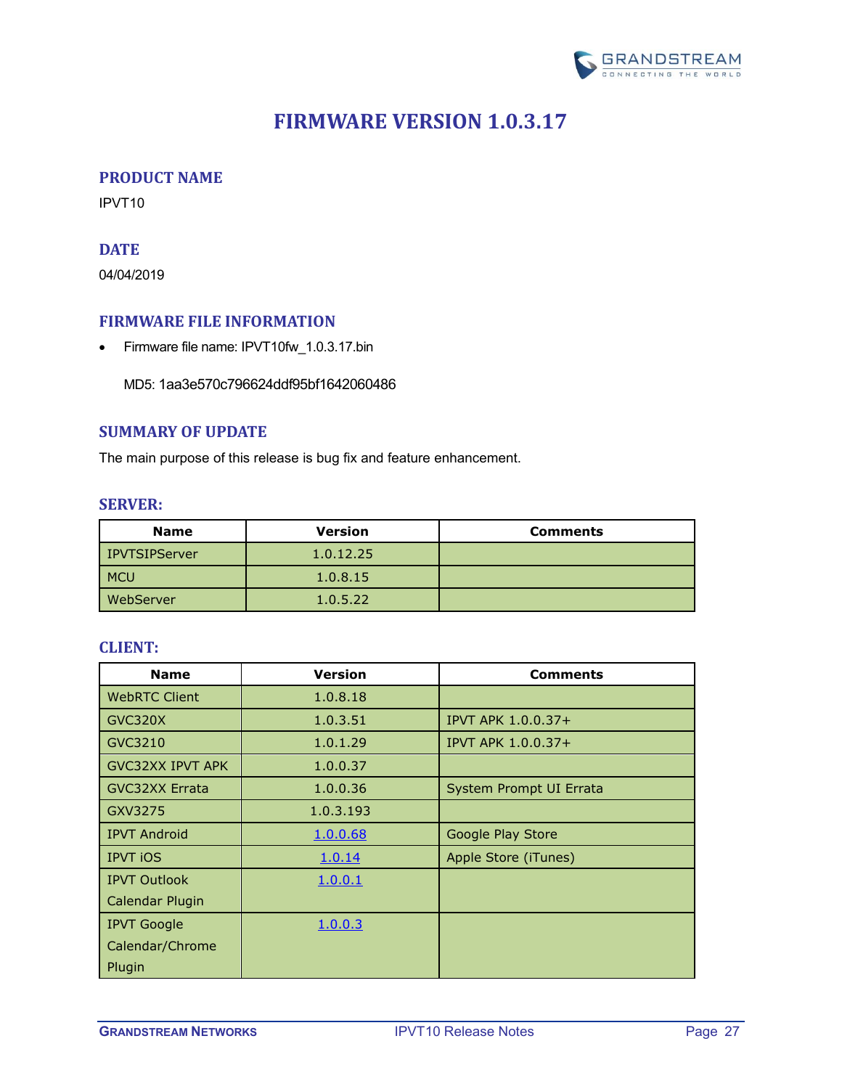

## **FIRMWARE VERSION 1.0.3.17**

#### <span id="page-26-1"></span><span id="page-26-0"></span>**PRODUCT NAME**

<span id="page-26-2"></span>IPVT10

## **DATE**

04/04/2019

#### <span id="page-26-3"></span>**FIRMWARE FILE INFORMATION**

• Firmware file name: IPVT10fw\_1.0.3.17.bin

MD5: 1aa3e570c796624ddf95bf1642060486

## <span id="page-26-4"></span>**SUMMARY OF UPDATE**

<span id="page-26-5"></span>The main purpose of this release is bug fix and feature enhancement.

#### **SERVER:**

| <b>Name</b>          | <b>Version</b> | <b>Comments</b> |
|----------------------|----------------|-----------------|
| <b>IPVTSIPServer</b> | 1.0.12.25      |                 |
| <b>MCU</b>           | 1.0.8.15       |                 |
| WebServer            | 1.0.5.22       |                 |

<span id="page-26-6"></span>

| <b>Name</b>             | <b>Version</b> | <b>Comments</b>           |
|-------------------------|----------------|---------------------------|
| <b>WebRTC Client</b>    | 1.0.8.18       |                           |
| GVC320X                 | 1.0.3.51       | <b>IPVT APK 1.0.0.37+</b> |
| GVC3210                 | 1.0.1.29       | IPVT APK 1.0.0.37+        |
| <b>GVC32XX IPVT APK</b> | 1.0.0.37       |                           |
| <b>GVC32XX Errata</b>   | 1.0.0.36       | System Prompt UI Errata   |
| GXV3275                 | 1.0.3.193      |                           |
| <b>IPVT Android</b>     | 1.0.0.68       | Google Play Store         |
| <b>IPVT iOS</b>         | 1.0.14         | Apple Store (iTunes)      |
| <b>IPVT Outlook</b>     | 1.0.0.1        |                           |
| Calendar Plugin         |                |                           |
| <b>IPVT Google</b>      | 1.0.0.3        |                           |
| Calendar/Chrome         |                |                           |
| Plugin                  |                |                           |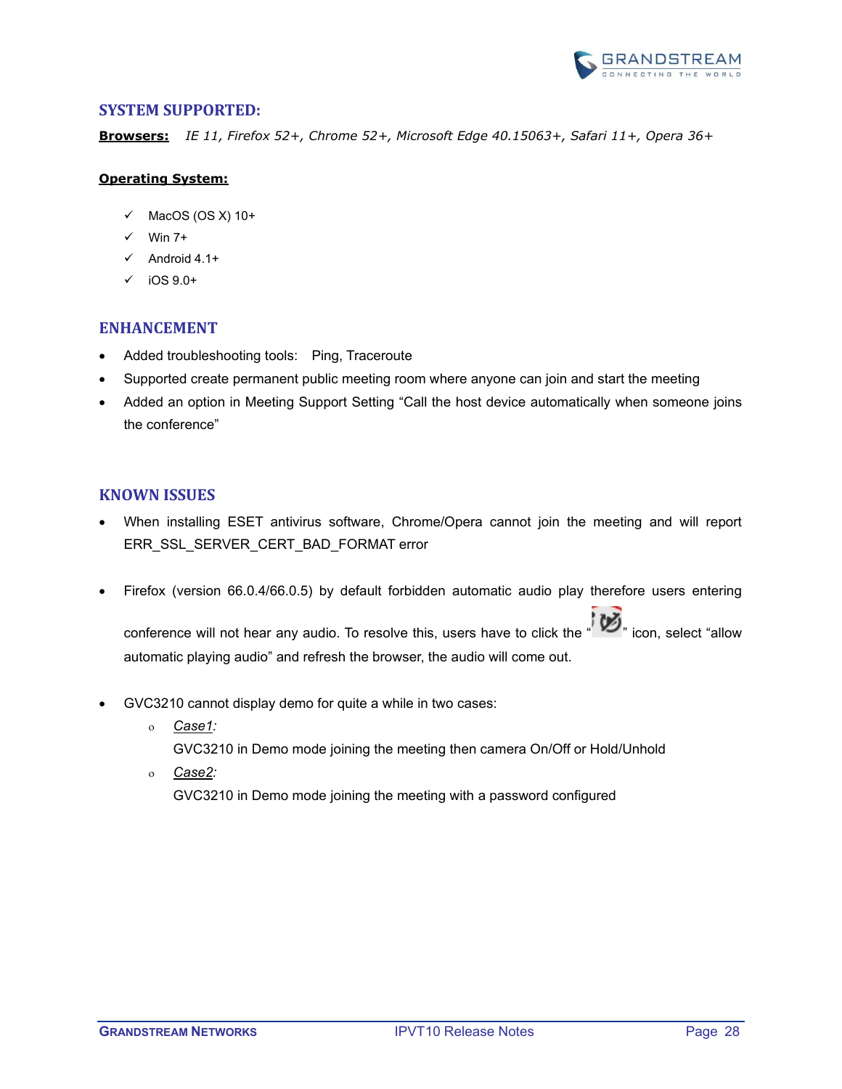

<span id="page-27-0"></span>**Browsers:** *IE 11, Firefox 52+, Chrome 52+, Microsoft Edge 40.15063+, Safari 11+, Opera 36+*

#### **Operating System:**

- $\checkmark$  MacOS (OS X) 10+
- $\checkmark$  Win 7+
- $\checkmark$  Android 4.1+
- $\checkmark$  iOS 9.0+

#### <span id="page-27-1"></span>**ENHANCEMENT**

- Added troubleshooting tools: Ping, Traceroute
- Supported create permanent public meeting room where anyone can join and start the meeting
- Added an option in Meeting Support Setting "Call the host device automatically when someone joins the conference"

#### <span id="page-27-2"></span>**KNOWN ISSUES**

- When installing ESET antivirus software, Chrome/Opera cannot join the meeting and will report ERR\_SSL\_SERVER\_CERT\_BAD\_FORMAT error
- Firefox (version 66.0.4/66.0.5) by default forbidden automatic audio play therefore users entering conference will not hear any audio. To resolve this, users have to click the " sicon, select "allow automatic playing audio" and refresh the browser, the audio will come out.
- GVC3210 cannot display demo for quite a while in two cases:
	- *Case1:*

GVC3210 in Demo mode joining the meeting then camera On/Off or Hold/Unhold

*Case2:*

GVC3210 in Demo mode joining the meeting with a password configured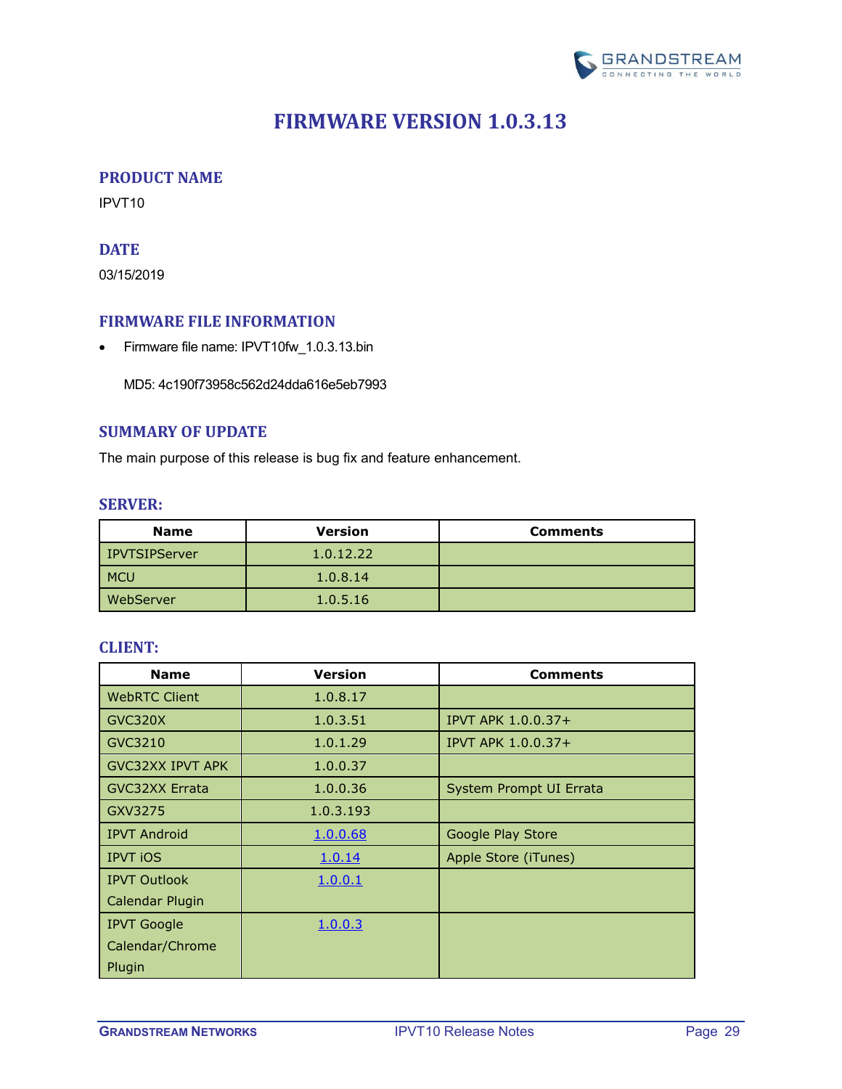

## **FIRMWARE VERSION 1.0.3.13**

#### <span id="page-28-1"></span><span id="page-28-0"></span>**PRODUCT NAME**

<span id="page-28-2"></span>IPVT10

## **DATE**

03/15/2019

### <span id="page-28-3"></span>**FIRMWARE FILE INFORMATION**

• Firmware file name: IPVT10fw\_1.0.3.13.bin

MD5: 4c190f73958c562d24dda616e5eb7993

## <span id="page-28-4"></span>**SUMMARY OF UPDATE**

<span id="page-28-5"></span>The main purpose of this release is bug fix and feature enhancement.

#### **SERVER:**

| <b>Name</b>          | <b>Version</b> | <b>Comments</b> |
|----------------------|----------------|-----------------|
| <b>IPVTSIPServer</b> | 1.0.12.22      |                 |
| <b>MCU</b>           | 1.0.8.14       |                 |
| WebServer            | 1.0.5.16       |                 |

<span id="page-28-6"></span>

| <b>Name</b>             | <b>Version</b> | <b>Comments</b>           |
|-------------------------|----------------|---------------------------|
| <b>WebRTC Client</b>    | 1.0.8.17       |                           |
| GVC320X                 | 1.0.3.51       | <b>IPVT APK 1.0.0.37+</b> |
| GVC3210                 | 1.0.1.29       | IPVT APK 1.0.0.37+        |
| <b>GVC32XX IPVT APK</b> | 1.0.0.37       |                           |
| <b>GVC32XX Errata</b>   | 1.0.0.36       | System Prompt UI Errata   |
| GXV3275                 | 1.0.3.193      |                           |
| <b>IPVT Android</b>     | 1.0.0.68       | Google Play Store         |
| <b>IPVT iOS</b>         | 1.0.14         | Apple Store (iTunes)      |
| <b>IPVT Outlook</b>     | 1.0.0.1        |                           |
| Calendar Plugin         |                |                           |
| <b>IPVT Google</b>      | 1.0.0.3        |                           |
| Calendar/Chrome         |                |                           |
| Plugin                  |                |                           |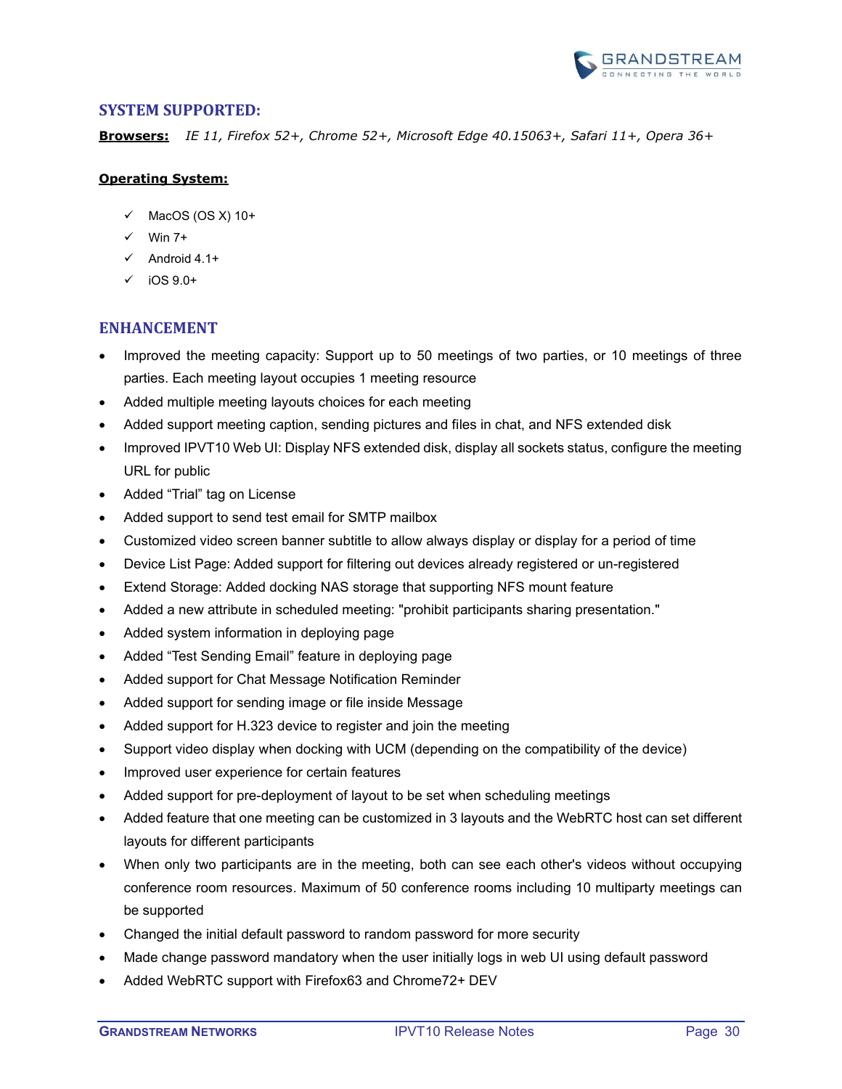

<span id="page-29-0"></span>**Browsers:** *IE 11, Firefox 52+, Chrome 52+, Microsoft Edge 40.15063+, Safari 11+, Opera 36+*

#### **Operating System:**

- $\checkmark$  MacOS (OS X) 10+
- $\checkmark$  Win 7+
- $\checkmark$  Android 4.1+
- $\checkmark$  iOS 9.0+

### <span id="page-29-1"></span>**ENHANCEMENT**

- Improved the meeting capacity: Support up to 50 meetings of two parties, or 10 meetings of three parties. Each meeting layout occupies 1 meeting resource
- Added multiple meeting layouts choices for each meeting
- Added support meeting caption, sending pictures and files in chat, and NFS extended disk
- Improved IPVT10 Web UI: Display NFS extended disk, display all sockets status, configure the meeting URL for public
- Added "Trial" tag on License
- Added support to send test email for SMTP mailbox
- Customized video screen banner subtitle to allow always display or display for a period of time
- Device List Page: Added support for filtering out devices already registered or un-registered
- Extend Storage: Added docking NAS storage that supporting NFS mount feature
- Added a new attribute in scheduled meeting: "prohibit participants sharing presentation."
- Added system information in deploying page
- Added "Test Sending Email" feature in deploying page
- Added support for Chat Message Notification Reminder
- Added support for sending image or file inside Message
- Added support for H.323 device to register and join the meeting
- Support video display when docking with UCM (depending on the compatibility of the device)
- Improved user experience for certain features
- Added support for pre-deployment of layout to be set when scheduling meetings
- Added feature that one meeting can be customized in 3 layouts and the WebRTC host can set different layouts for different participants
- When only two participants are in the meeting, both can see each other's videos without occupying conference room resources. Maximum of 50 conference rooms including 10 multiparty meetings can be supported
- Changed the initial default password to random password for more security
- Made change password mandatory when the user initially logs in web UI using default password
- Added WebRTC support with Firefox63 and Chrome72+ DEV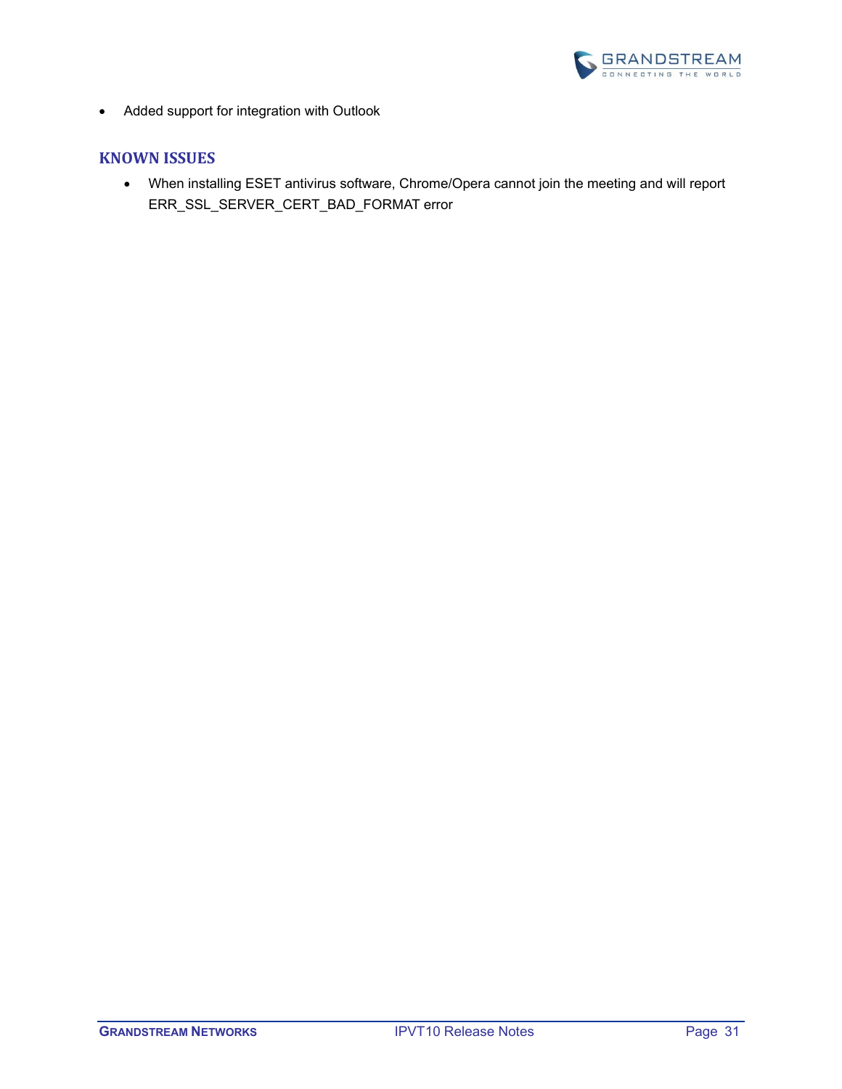

• Added support for integration with Outlook

### <span id="page-30-0"></span>**KNOWN ISSUES**

• When installing ESET antivirus software, Chrome/Opera cannot join the meeting and will report ERR\_SSL\_SERVER\_CERT\_BAD\_FORMAT error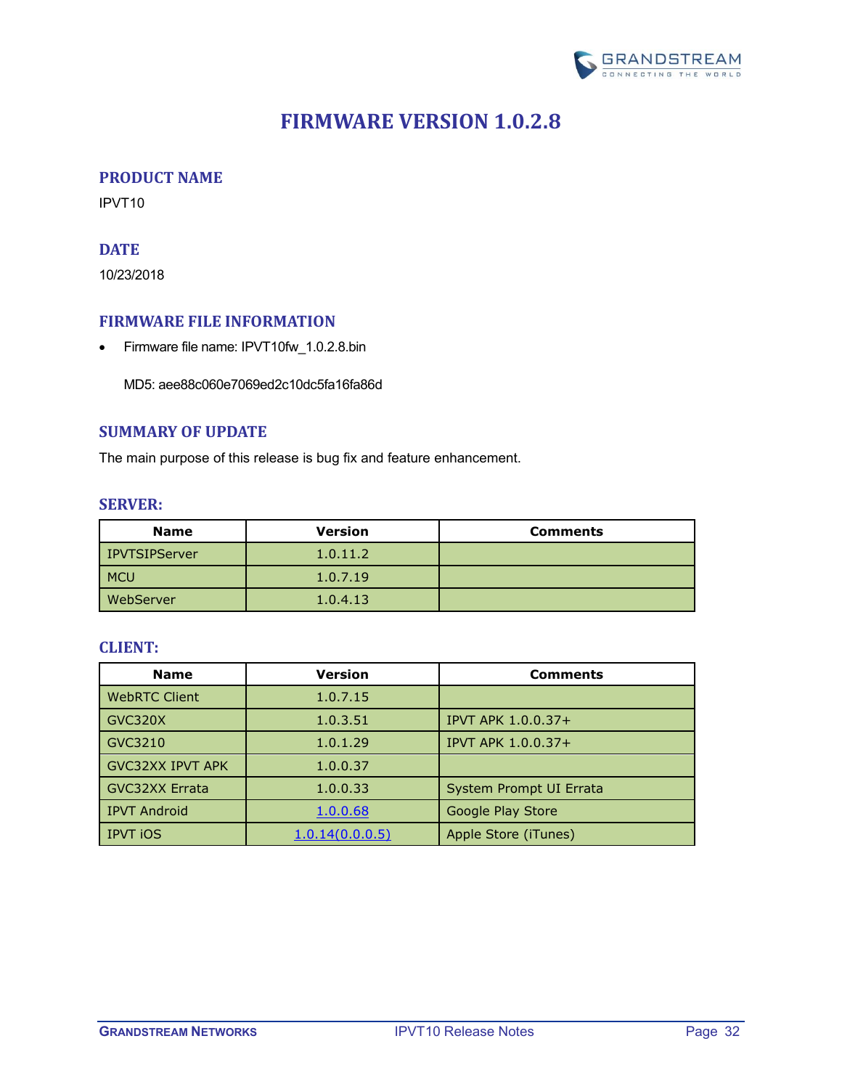

## **FIRMWARE VERSION 1.0.2.8**

#### <span id="page-31-1"></span><span id="page-31-0"></span>**PRODUCT NAME**

<span id="page-31-2"></span>IPVT10

## **DATE**

10/23/2018

#### <span id="page-31-3"></span>**FIRMWARE FILE INFORMATION**

• Firmware file name: IPVT10fw\_1.0.2.8.bin

MD5: aee88c060e7069ed2c10dc5fa16fa86d

## <span id="page-31-4"></span>**SUMMARY OF UPDATE**

<span id="page-31-5"></span>The main purpose of this release is bug fix and feature enhancement.

#### **SERVER:**

| <b>Name</b>   | <b>Version</b> | <b>Comments</b> |
|---------------|----------------|-----------------|
| IPVTSIPServer | 1.0.11.2       |                 |
| <b>MCU</b>    | 1.0.7.19       |                 |
| WebServer     | 1.0.4.13       |                 |

<span id="page-31-6"></span>

| <b>Name</b>             | <b>Version</b>  | <b>Comments</b>           |
|-------------------------|-----------------|---------------------------|
| <b>WebRTC Client</b>    | 1.0.7.15        |                           |
| GVC320X                 | 1.0.3.51        | <b>IPVT APK 1.0.0.37+</b> |
| GVC3210                 | 1.0.1.29        | <b>IPVT APK 1.0.0.37+</b> |
| <b>GVC32XX IPVT APK</b> | 1.0.0.37        |                           |
| <b>GVC32XX Errata</b>   | 1.0.0.33        | System Prompt UI Errata   |
| <b>IPVT Android</b>     | 1.0.0.68        | Google Play Store         |
| <b>IPVT iOS</b>         | 1.0.14(0.0.0.5) | Apple Store (iTunes)      |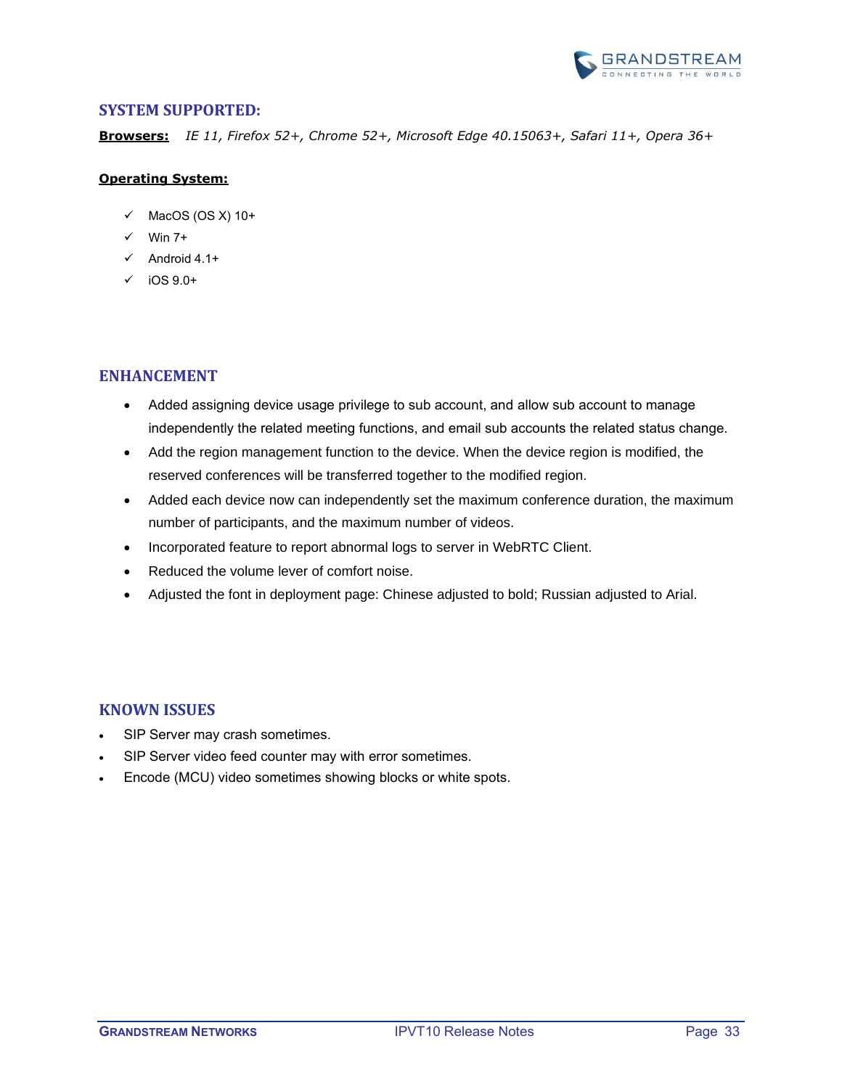

<span id="page-32-0"></span>**Browsers:** *IE 11, Firefox 52+, Chrome 52+, Microsoft Edge 40.15063+, Safari 11+, Opera 36+*

#### **Operating System:**

- $\checkmark$  MacOS (OS X) 10+
- $\checkmark$  Win 7+
- $\checkmark$  Android 4.1+
- $\checkmark$  iOS 9.0+

### <span id="page-32-1"></span>**ENHANCEMENT**

- Added assigning device usage privilege to sub account, and allow sub account to manage independently the related meeting functions, and email sub accounts the related status change.
- Add the region management function to the device. When the device region is modified, the reserved conferences will be transferred together to the modified region.
- Added each device now can independently set the maximum conference duration, the maximum number of participants, and the maximum number of videos.
- Incorporated feature to report abnormal logs to server in WebRTC Client.
- Reduced the volume lever of comfort noise.
- Adjusted the font in deployment page: Chinese adjusted to bold; Russian adjusted to Arial.

#### <span id="page-32-2"></span>**KNOWN ISSUES**

- SIP Server may crash sometimes.
- SIP Server video feed counter may with error sometimes.
- Encode (MCU) video sometimes showing blocks or white spots.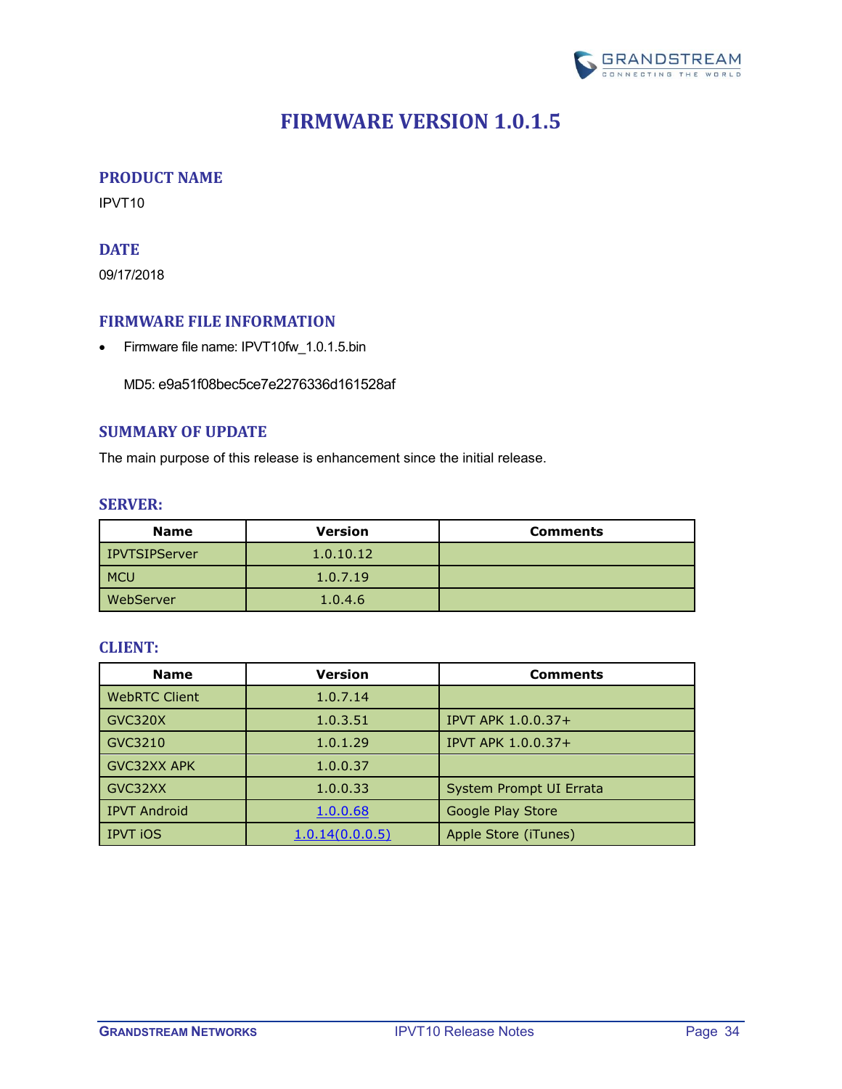

## **FIRMWARE VERSION 1.0.1.5**

#### <span id="page-33-1"></span><span id="page-33-0"></span>**PRODUCT NAME**

<span id="page-33-2"></span>IPVT10

## **DATE**

09/17/2018

### <span id="page-33-3"></span>**FIRMWARE FILE INFORMATION**

• Firmware file name: IPVT10fw\_1.0.1.5.bin

MD5: e9a51f08bec5ce7e2276336d161528af

## <span id="page-33-4"></span>**SUMMARY OF UPDATE**

<span id="page-33-5"></span>The main purpose of this release is enhancement since the initial release.

#### **SERVER:**

| <b>Name</b>   | <b>Version</b> | <b>Comments</b> |
|---------------|----------------|-----------------|
| IPVTSIPServer | 1.0.10.12      |                 |
| <b>MCU</b>    | 1.0.7.19       |                 |
| WebServer     | 1.0.4.6        |                 |

<span id="page-33-6"></span>

| <b>Name</b>          | <b>Version</b>  | <b>Comments</b>           |
|----------------------|-----------------|---------------------------|
| <b>WebRTC Client</b> | 1.0.7.14        |                           |
| GVC320X              | 1.0.3.51        | <b>IPVT APK 1.0.0.37+</b> |
| GVC3210              | 1.0.1.29        | <b>IPVT APK 1.0.0.37+</b> |
| <b>GVC32XX APK</b>   | 1.0.0.37        |                           |
| GVC32XX              | 1.0.0.33        | System Prompt UI Errata   |
| <b>IPVT Android</b>  | 1.0.0.68        | Google Play Store         |
| <b>IPVT iOS</b>      | 1.0.14(0.0.0.5) | Apple Store (iTunes)      |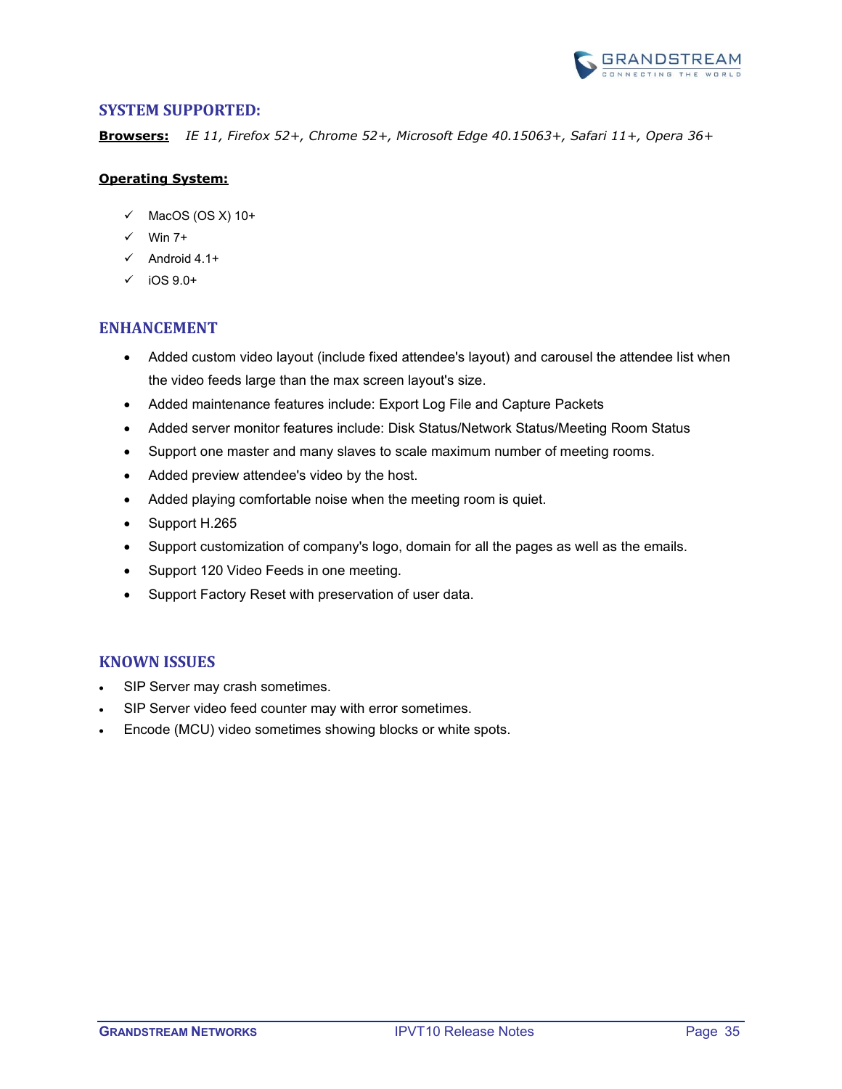

<span id="page-34-0"></span>**Browsers:** *IE 11, Firefox 52+, Chrome 52+, Microsoft Edge 40.15063+, Safari 11+, Opera 36+*

#### **Operating System:**

- $\checkmark$  MacOS (OS X) 10+
- $\checkmark$  Win 7+
- $\checkmark$  Android 4.1+
- $\checkmark$  iOS 9.0+

#### <span id="page-34-1"></span>**ENHANCEMENT**

- Added custom video layout (include fixed attendee's layout) and carousel the attendee list when the video feeds large than the max screen layout's size.
- Added maintenance features include: Export Log File and Capture Packets
- Added server monitor features include: Disk Status/Network Status/Meeting Room Status
- Support one master and many slaves to scale maximum number of meeting rooms.
- Added preview attendee's video by the host.
- Added playing comfortable noise when the meeting room is quiet.
- Support H.265
- Support customization of company's logo, domain for all the pages as well as the emails.
- Support 120 Video Feeds in one meeting.
- Support Factory Reset with preservation of user data.

#### <span id="page-34-2"></span>**KNOWN ISSUES**

- SIP Server may crash sometimes.
- SIP Server video feed counter may with error sometimes.
- Encode (MCU) video sometimes showing blocks or white spots.